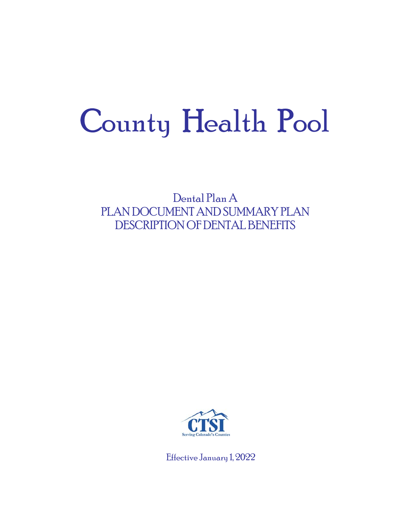# County Health Pool

Dental Plan A PLAN DOCUMENT AND SUMMARY PLAN DESCRIPTION OF DENTAL BENEFITS



Effective January 1, 2022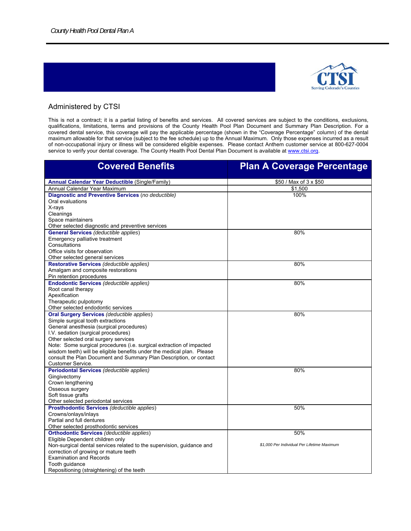

#### Administered by CTSI

This is not a contract; it is a partial listing of benefits and services. All covered services are subject to the conditions, exclusions, qualifications, limitations, terms and provisions of the County Health Pool Plan Document and Summary Plan Description. For a covered dental service, this coverage will pay the applicable percentage (shown in the "Coverage Percentage" column) of the dental maximum allowable for that service (subject to the fee schedule) up to the Annual Maximum. Only those expenses incurred as a result of non-occupational injury or illness will be considered eligible expenses. Please contact Anthem customer service at 800-627-0004 service to verify your dental coverage. The County Health Pool Dental Plan Document is available at www.ctsi.org.

| <b>Covered Benefits</b>                                                | <b>Plan A Coverage Percentage</b>           |
|------------------------------------------------------------------------|---------------------------------------------|
| <b>Annual Calendar Year Deductible (Single/Family)</b>                 | \$50 / Max of 3 x \$50                      |
| Annual Calendar Year Maximum                                           | \$1,500                                     |
| Diagnostic and Preventive Services (no deductible)                     | 100%                                        |
| Oral evaluations                                                       |                                             |
| X-rays                                                                 |                                             |
| Cleanings                                                              |                                             |
| Space maintainers                                                      |                                             |
| Other selected diagnostic and preventive services                      |                                             |
| <b>General Services</b> (deductible applies)                           | 80%                                         |
| Emergency palliative treatment                                         |                                             |
| Consultations                                                          |                                             |
| Office visits for observation                                          |                                             |
| Other selected general services                                        |                                             |
| Restorative Services (deductible applies)                              | 80%                                         |
| Amalgam and composite restorations                                     |                                             |
| Pin retention procedures                                               |                                             |
| <b>Endodontic Services (deductible applies)</b>                        | 80%                                         |
| Root canal therapy                                                     |                                             |
| Apexification                                                          |                                             |
| Therapeutic pulpotomy                                                  |                                             |
| Other selected endodontic services                                     |                                             |
| <b>Oral Surgery Services (deductible applies)</b>                      | 80%                                         |
| Simple surgical tooth extractions                                      |                                             |
| General anesthesia (surgical procedures)                               |                                             |
| I.V. sedation (surgical procedures)                                    |                                             |
| Other selected oral surgery services                                   |                                             |
| Note: Some surgical procedures (i.e. surgical extraction of impacted   |                                             |
| wisdom teeth) will be eligible benefits under the medical plan. Please |                                             |
| consult the Plan Document and Summary Plan Description, or contact     |                                             |
| <b>Customer Service.</b>                                               |                                             |
| Periodontal Services (deductible applies)                              | 80%                                         |
| Gingivectomy                                                           |                                             |
| Crown lengthening                                                      |                                             |
| Osseous surgery                                                        |                                             |
| Soft tissue grafts                                                     |                                             |
| Other selected periodontal services                                    |                                             |
| <b>Prosthodontic Services (deductible applies)</b>                     | 50%                                         |
| Crowns/onlays/inlays                                                   |                                             |
| Partial and full dentures                                              |                                             |
| Other selected prosthodontic services                                  |                                             |
| <b>Orthodontic Services (deductible applies)</b>                       | 50%                                         |
| Eligible Dependent children only                                       |                                             |
| Non-surgical dental services related to the supervision, guidance and  | \$1,000 Per Individual Per Lifetime Maximum |
| correction of growing or mature teeth                                  |                                             |
| <b>Examination and Records</b>                                         |                                             |
| Tooth quidance                                                         |                                             |
| Repositioning (straightening) of the teeth                             |                                             |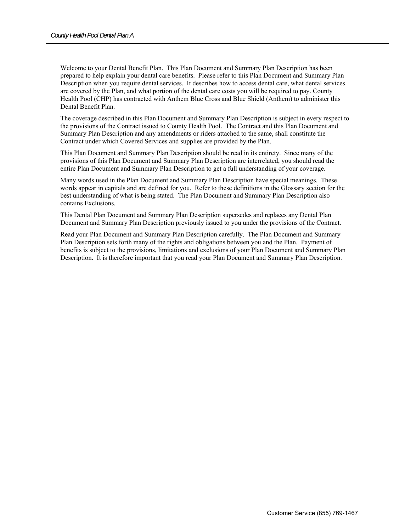Welcome to your Dental Benefit Plan. This Plan Document and Summary Plan Description has been prepared to help explain your dental care benefits. Please refer to this Plan Document and Summary Plan Description when you require dental services. It describes how to access dental care, what dental services are covered by the Plan, and what portion of the dental care costs you will be required to pay. County Health Pool (CHP) has contracted with Anthem Blue Cross and Blue Shield (Anthem) to administer this Dental Benefit Plan.

The coverage described in this Plan Document and Summary Plan Description is subject in every respect to the provisions of the Contract issued to County Health Pool. The Contract and this Plan Document and Summary Plan Description and any amendments or riders attached to the same, shall constitute the Contract under which Covered Services and supplies are provided by the Plan.

This Plan Document and Summary Plan Description should be read in its entirety. Since many of the provisions of this Plan Document and Summary Plan Description are interrelated, you should read the entire Plan Document and Summary Plan Description to get a full understanding of your coverage.

Many words used in the Plan Document and Summary Plan Description have special meanings. These words appear in capitals and are defined for you. Refer to these definitions in the Glossary section for the best understanding of what is being stated. The Plan Document and Summary Plan Description also contains Exclusions.

This Dental Plan Document and Summary Plan Description supersedes and replaces any Dental Plan Document and Summary Plan Description previously issued to you under the provisions of the Contract.

Read your Plan Document and Summary Plan Description carefully. The Plan Document and Summary Plan Description sets forth many of the rights and obligations between you and the Plan. Payment of benefits is subject to the provisions, limitations and exclusions of your Plan Document and Summary Plan Description. It is therefore important that you read your Plan Document and Summary Plan Description.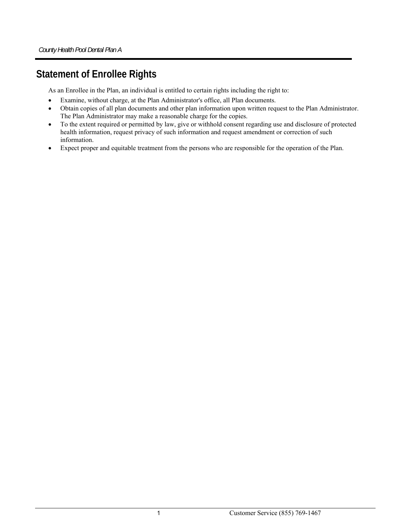# **Statement of Enrollee Rights**

As an Enrollee in the Plan, an individual is entitled to certain rights including the right to:

- Examine, without charge, at the Plan Administrator's office, all Plan documents.
- Obtain copies of all plan documents and other plan information upon written request to the Plan Administrator. The Plan Administrator may make a reasonable charge for the copies.
- To the extent required or permitted by law, give or withhold consent regarding use and disclosure of protected health information, request privacy of such information and request amendment or correction of such information.
- Expect proper and equitable treatment from the persons who are responsible for the operation of the Plan.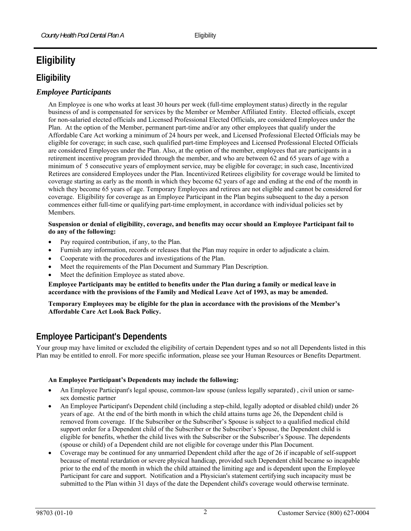# **Eligibility**

# **Eligibility**

## *Employee Participants*

An Employee is one who works at least 30 hours per week (full-time employment status) directly in the regular business of and is compensated for services by the Member or Member Affiliated Entity. Elected officials, except for non-salaried elected officials and Licensed Professional Elected Officials, are considered Employees under the Plan. At the option of the Member, permanent part-time and/or any other employees that qualify under the Affordable Care Act working a minimum of 24 hours per week, and Licensed Professional Elected Officials may be eligible for coverage; in such case, such qualified part-time Employees and Licensed Professional Elected Officials are considered Employees under the Plan. Also, at the option of the member, employees that are participants in a retirement incentive program provided through the member, and who are between 62 and 65 years of age with a minimum of 5 consecutive years of employment service, may be eligible for coverage; in such case, Incentivized Retirees are considered Employees under the Plan. Incentivized Retirees eligibility for coverage would be limited to coverage starting as early as the month in which they become 62 years of age and ending at the end of the month in which they become 65 years of age. Temporary Employees and retirees are not eligible and cannot be considered for coverage. Eligibility for coverage as an Employee Participant in the Plan begins subsequent to the day a person commences either full-time or qualifying part-time employment, in accordance with individual policies set by Members.

#### **Suspension or denial of eligibility, coverage, and benefits may occur should an Employee Participant fail to do any of the following:**

- Pay required contribution, if any, to the Plan.
- Furnish any information, records or releases that the Plan may require in order to adjudicate a claim.
- Cooperate with the procedures and investigations of the Plan.
- Meet the requirements of the Plan Document and Summary Plan Description.
- Meet the definition Employee as stated above.

**Employee Participants may be entitled to benefits under the Plan during a family or medical leave in accordance with the provisions of the Family and Medical Leave Act of 1993, as may be amended.** 

**Temporary Employees may be eligible for the plan in accordance with the provisions of the Member's Affordable Care Act Look Back Policy.** 

# **Employee Participant's Dependents**

Your group may have limited or excluded the eligibility of certain Dependent types and so not all Dependents listed in this Plan may be entitled to enroll. For more specific information, please see your Human Resources or Benefits Department.

#### **An Employee Participant's Dependents may include the following:**

- An Employee Participant's legal spouse, common-law spouse (unless legally separated) , civil union or samesex domestic partner
- An Employee Participant's Dependent child (including a step-child, legally adopted or disabled child) under 26 years of age. At the end of the birth month in which the child attains turns age 26, the Dependent child is removed from coverage. If the Subscriber or the Subscriber's Spouse is subject to a qualified medical child support order for a Dependent child of the Subscriber or the Subscriber's Spouse, the Dependent child is eligible for benefits, whether the child lives with the Subscriber or the Subscriber's Spouse. The dependents (spouse or child) of a Dependent child are not eligible for coverage under this Plan Document.
- Coverage may be continued for any unmarried Dependent child after the age of 26 if incapable of self-support because of mental retardation or severe physical handicap, provided such Dependent child became so incapable prior to the end of the month in which the child attained the limiting age and is dependent upon the Employee Participant for care and support. Notification and a Physician's statement certifying such incapacity must be submitted to the Plan within 31 days of the date the Dependent child's coverage would otherwise terminate.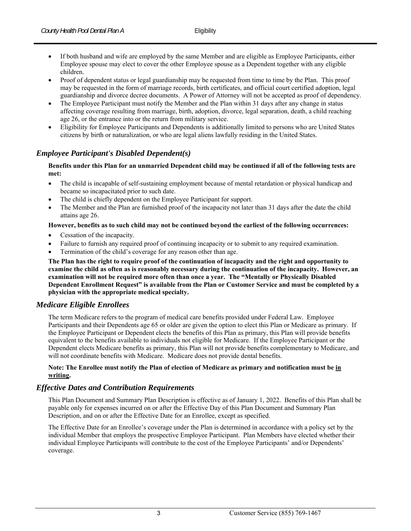- If both husband and wife are employed by the same Member and are eligible as Employee Participants, either Employee spouse may elect to cover the other Employee spouse as a Dependent together with any eligible children.
- Proof of dependent status or legal guardianship may be requested from time to time by the Plan. This proof may be requested in the form of marriage records, birth certificates, and official court certified adoption, legal guardianship and divorce decree documents. A Power of Attorney will not be accepted as proof of dependency.
- The Employee Participant must notify the Member and the Plan within 31 days after any change in status affecting coverage resulting from marriage, birth, adoption, divorce, legal separation, death, a child reaching age 26, or the entrance into or the return from military service.
- Eligibility for Employee Participants and Dependents is additionally limited to persons who are United States citizens by birth or naturalization, or who are legal aliens lawfully residing in the United States.

#### *Employee Participant's Disabled Dependent(s)*

#### **Benefits under this Plan for an unmarried Dependent child may be continued if all of the following tests are met:**

- The child is incapable of self-sustaining employment because of mental retardation or physical handicap and became so incapacitated prior to such date.
- The child is chiefly dependent on the Employee Participant for support.
- The Member and the Plan are furnished proof of the incapacity not later than 31 days after the date the child attains age 26.

#### **However, benefits as to such child may not be continued beyond the earliest of the following occurrences:**

- Cessation of the incapacity.
- Failure to furnish any required proof of continuing incapacity or to submit to any required examination.
- Termination of the child's coverage for any reason other than age.

**The Plan has the right to require proof of the continuation of incapacity and the right and opportunity to examine the child as often as is reasonably necessary during the continuation of the incapacity. However, an examination will not be required more often than once a year. The "Mentally or Physically Disabled Dependent Enrollment Request" is available from the Plan or Customer Service and must be completed by a physician with the appropriate medical specialty.** 

#### *Medicare Eligible Enrollees*

The term Medicare refers to the program of medical care benefits provided under Federal Law. Employee Participants and their Dependents age 65 or older are given the option to elect this Plan or Medicare as primary. If the Employee Participant or Dependent elects the benefits of this Plan as primary, this Plan will provide benefits equivalent to the benefits available to individuals not eligible for Medicare. If the Employee Participant or the Dependent elects Medicare benefits as primary, this Plan will not provide benefits complementary to Medicare, and will not coordinate benefits with Medicare. Medicare does not provide dental benefits.

#### **Note: The Enrollee must notify the Plan of election of Medicare as primary and notification must be in writing.**

#### *Effective Dates and Contribution Requirements*

This Plan Document and Summary Plan Description is effective as of January 1, 2022. Benefits of this Plan shall be payable only for expenses incurred on or after the Effective Day of this Plan Document and Summary Plan Description, and on or after the Effective Date for an Enrollee, except as specified.

The Effective Date for an Enrollee's coverage under the Plan is determined in accordance with a policy set by the individual Member that employs the prospective Employee Participant. Plan Members have elected whether their individual Employee Participants will contribute to the cost of the Employee Participants' and/or Dependents' coverage.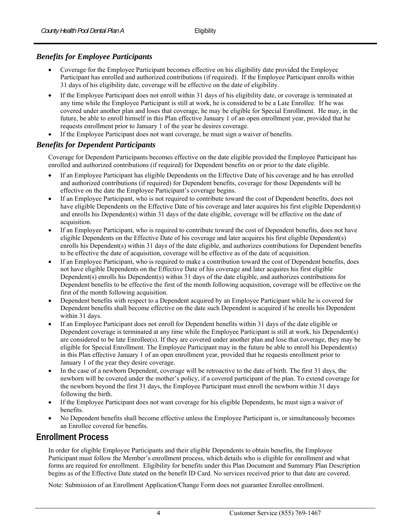## *Benefits for Employee Participants*

- Coverage for the Employee Participant becomes effective on his eligibility date provided the Employee Participant has enrolled and authorized contributions (if required). If the Employee Participant enrolls within 31 days of his eligibility date, coverage will be effective on the date of eligibility.
- If the Employee Participant does not enroll within 31 days of his eligibility date, or coverage is terminated at any time while the Employee Participant is still at work, he is considered to be a Late Enrollee. If he was covered under another plan and loses that coverage, he may be eligible for Special Enrollment. He may, in the future, be able to enroll himself in this Plan effective January 1 of an open enrollment year, provided that he requests enrollment prior to January 1 of the year he desires coverage.
- If the Employee Participant does not want coverage, he must sign a waiver of benefits.

#### *Benefits for Dependent Participants*

Coverage for Dependent Participants becomes effective on the date eligible provided the Employee Participant has enrolled and authorized contributions (if required) for Dependent benefits on or prior to the date eligible.

- If an Employee Participant has eligible Dependents on the Effective Date of his coverage and he has enrolled and authorized contributions (if required) for Dependent benefits, coverage for those Dependents will be effective on the date the Employee Participant's coverage begins.
- If an Employee Participant, who is not required to contribute toward the cost of Dependent benefits, does not have eligible Dependents on the Effective Date of his coverage and later acquires his first eligible Dependent(s) and enrolls his Dependent(s) within 31 days of the date eligible, coverage will be effective on the date of acquisition.
- If an Employee Participant, who is required to contribute toward the cost of Dependent benefits, does not have eligible Dependents on the Effective Date of his coverage and later acquires his first eligible Dependent(s) enrolls his Dependent(s) within 31 days of the date eligible, and authorizes contributions for Dependent benefits to be effective the date of acquisition, coverage will be effective as of the date of acquisition.
- If an Employee Participant, who is required to make a contribution toward the cost of Dependent benefits, does not have eligible Dependents on the Effective Date of his coverage and later acquires his first eligible Dependent(s) enrolls his Dependent(s) within 31 days of the date eligible, and authorizes contributions for Dependent benefits to be effective the first of the month following acquisition, coverage will be effective on the first of the month following acquisition.
- Dependent benefits with respect to a Dependent acquired by an Employee Participant while he is covered for Dependent benefits shall become effective on the date such Dependent is acquired if he enrolls his Dependent within 31 days.
- If an Employee Participant does not enroll for Dependent benefits within 31 days of the date eligible or Dependent coverage is terminated at any time while the Employee Participant is still at work, his Dependent(s) are considered to be late Enrollee(s). If they are covered under another plan and lose that coverage, they may be eligible for Special Enrollment. The Employee Participant may in the future be able to enroll his Dependent(s) in this Plan effective January 1 of an open enrollment year, provided that he requests enrollment prior to January 1 of the year they desire coverage.
- In the case of a newborn Dependent, coverage will be retroactive to the date of birth. The first 31 days, the newborn will be covered under the mother's policy, if a covered participant of the plan. To extend coverage for the newborn beyond the first 31 days, the Employee Participant must enroll the newborn within 31 days following the birth.
- If the Employee Participant does not want coverage for his eligible Dependents, he must sign a waiver of benefits.
- No Dependent benefits shall become effective unless the Employee Participant is, or simultaneously becomes an Enrollee covered for benefits.

# **Enrollment Process**

In order for eligible Employee Participants and their eligible Dependents to obtain benefits, the Employee Participant must follow the Member's enrollment process, which details who is eligible for enrollment and what forms are required for enrollment. Eligibility for benefits under this Plan Document and Summary Plan Description begins as of the Effective Date stated on the benefit ID Card. No services received prior to that date are covered.

Note: Submission of an Enrollment Application/Change Form does not guarantee Enrollee enrollment.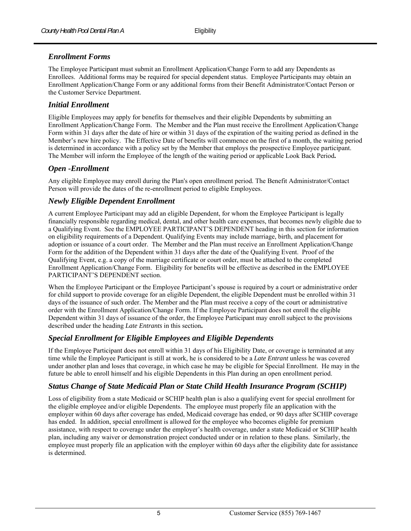#### *Enrollment Forms*

The Employee Participant must submit an Enrollment Application/Change Form to add any Dependents as Enrollees. Additional forms may be required for special dependent status. Employee Participants may obtain an Enrollment Application/Change Form or any additional forms from their Benefit Administrator/Contact Person or the Customer Service Department.

#### *Initial Enrollment*

Eligible Employees may apply for benefits for themselves and their eligible Dependents by submitting an Enrollment Application/Change Form. The Member and the Plan must receive the Enrollment Application/Change Form within 31 days after the date of hire or within 31 days of the expiration of the waiting period as defined in the Member's new hire policy. The Effective Date of benefits will commence on the first of a month, the waiting period is determined in accordance with a policy set by the Member that employs the prospective Employee participant. The Member will inform the Employee of the length of the waiting period or applicable Look Back Period**.**

#### *Open -Enrollment*

Any eligible Employee may enroll during the Plan's open enrollment period. The Benefit Administrator/Contact Person will provide the dates of the re-enrollment period to eligible Employees.

#### *Newly Eligible Dependent Enrollment*

A current Employee Participant may add an eligible Dependent, for whom the Employee Participant is legally financially responsible regarding medical, dental, and other health care expenses, that becomes newly eligible due to a Qualifying Event. See the EMPLOYEE PARTICIPANT'S DEPENDENT heading in this section for information on eligibility requirements of a Dependent. Qualifying Events may include marriage, birth, and placement for adoption or issuance of a court order. The Member and the Plan must receive an Enrollment Application/Change Form for the addition of the Dependent within 31 days after the date of the Qualifying Event. Proof of the Qualifying Event, e.g. a copy of the marriage certificate or court order, must be attached to the completed Enrollment Application/Change Form. Eligibility for benefits will be effective as described in the EMPLOYEE PARTICIPANT'S DEPENDENT section.

When the Employee Participant or the Employee Participant's spouse is required by a court or administrative order for child support to provide coverage for an eligible Dependent, the eligible Dependent must be enrolled within 31 days of the issuance of such order. The Member and the Plan must receive a copy of the court or administrative order with the Enrollment Application/Change Form. If the Employee Participant does not enroll the eligible Dependent within 31 days of issuance of the order, the Employee Participant may enroll subject to the provisions described under the heading *Late Entrants* in this section**.** 

#### *Special Enrollment for Eligible Employees and Eligible Dependents*

If the Employee Participant does not enroll within 31 days of his Eligibility Date, or coverage is terminated at any time while the Employee Participant is still at work, he is considered to be a *Late Entrant* unless he was covered under another plan and loses that coverage, in which case he may be eligible for Special Enrollment. He may in the future be able to enroll himself and his eligible Dependents in this Plan during an open enrollment period.

#### *Status Change of State Medicaid Plan or State Child Health Insurance Program (SCHIP)*

Loss of eligibility from a state Medicaid or SCHIP health plan is also a qualifying event for special enrollment for the eligible employee and/or eligible Dependents. The employee must properly file an application with the employer within 60 days after coverage has ended, Medicaid coverage has ended, or 90 days after SCHIP coverage has ended. In addition, special enrollment is allowed for the employee who becomes eligible for premium assistance, with respect to coverage under the employer's health coverage, under a state Medicaid or SCHIP health plan, including any waiver or demonstration project conducted under or in relation to these plans. Similarly, the employee must properly file an application with the employer within 60 days after the eligibility date for assistance is determined.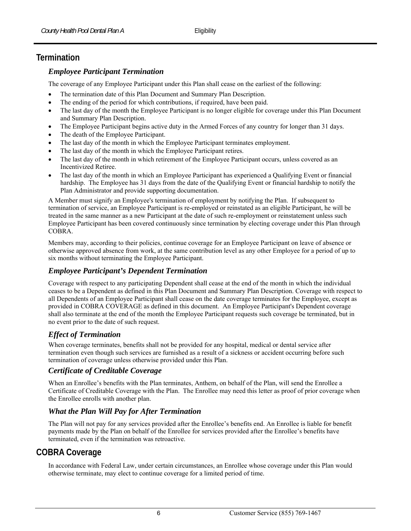# **Termination**

#### *Employee Participant Termination*

The coverage of any Employee Participant under this Plan shall cease on the earliest of the following:

- The termination date of this Plan Document and Summary Plan Description.
- The ending of the period for which contributions, if required, have been paid.
- The last day of the month the Employee Participant is no longer eligible for coverage under this Plan Document and Summary Plan Description.
- The Employee Participant begins active duty in the Armed Forces of any country for longer than 31 days.
- The death of the Employee Participant.
- The last day of the month in which the Employee Participant terminates employment.
- The last day of the month in which the Employee Participant retires.
- The last day of the month in which retirement of the Employee Participant occurs, unless covered as an Incentivized Retiree.
- The last day of the month in which an Employee Participant has experienced a Qualifying Event or financial hardship. The Employee has 31 days from the date of the Qualifying Event or financial hardship to notify the Plan Administrator and provide supporting documentation.

A Member must signify an Employee's termination of employment by notifying the Plan. If subsequent to termination of service, an Employee Participant is re-employed or reinstated as an eligible Participant, he will be treated in the same manner as a new Participant at the date of such re-employment or reinstatement unless such Employee Participant has been covered continuously since termination by electing coverage under this Plan through COBRA.

Members may, according to their policies, continue coverage for an Employee Participant on leave of absence or otherwise approved absence from work, at the same contribution level as any other Employee for a period of up to six months without terminating the Employee Participant.

#### *Employee Participant's Dependent Termination*

Coverage with respect to any participating Dependent shall cease at the end of the month in which the individual ceases to be a Dependent as defined in this Plan Document and Summary Plan Description. Coverage with respect to all Dependents of an Employee Participant shall cease on the date coverage terminates for the Employee, except as provided in COBRA COVERAGE as defined in this document. An Employee Participant's Dependent coverage shall also terminate at the end of the month the Employee Participant requests such coverage be terminated, but in no event prior to the date of such request.

#### *Effect of Termination*

When coverage terminates, benefits shall not be provided for any hospital, medical or dental service after termination even though such services are furnished as a result of a sickness or accident occurring before such termination of coverage unless otherwise provided under this Plan.

#### *Certificate of Creditable Coverage*

When an Enrollee's benefits with the Plan terminates, Anthem, on behalf of the Plan, will send the Enrollee a Certificate of Creditable Coverage with the Plan. The Enrollee may need this letter as proof of prior coverage when the Enrollee enrolls with another plan.

#### *What the Plan Will Pay for After Termination*

The Plan will not pay for any services provided after the Enrollee's benefits end. An Enrollee is liable for benefit payments made by the Plan on behalf of the Enrollee for services provided after the Enrollee's benefits have terminated, even if the termination was retroactive.

# **COBRA Coverage**

In accordance with Federal Law, under certain circumstances, an Enrollee whose coverage under this Plan would otherwise terminate, may elect to continue coverage for a limited period of time.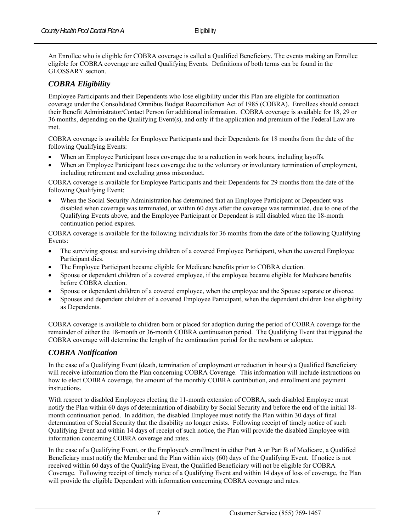An Enrollee who is eligible for COBRA coverage is called a Qualified Beneficiary. The events making an Enrollee eligible for COBRA coverage are called Qualifying Events. Definitions of both terms can be found in the GLOSSARY section.

#### *COBRA Eligibility*

Employee Participants and their Dependents who lose eligibility under this Plan are eligible for continuation coverage under the Consolidated Omnibus Budget Reconciliation Act of 1985 (COBRA). Enrollees should contact their Benefit Administrator/Contact Person for additional information. COBRA coverage is available for 18, 29 or 36 months, depending on the Qualifying Event(s), and only if the application and premium of the Federal Law are met.

COBRA coverage is available for Employee Participants and their Dependents for 18 months from the date of the following Qualifying Events:

- When an Employee Participant loses coverage due to a reduction in work hours, including layoffs.
- When an Employee Participant loses coverage due to the voluntary or involuntary termination of employment, including retirement and excluding gross misconduct.

COBRA coverage is available for Employee Participants and their Dependents for 29 months from the date of the following Qualifying Event:

 When the Social Security Administration has determined that an Employee Participant or Dependent was disabled when coverage was terminated, or within 60 days after the coverage was terminated, due to one of the Qualifying Events above, and the Employee Participant or Dependent is still disabled when the 18-month continuation period expires.

COBRA coverage is available for the following individuals for 36 months from the date of the following Qualifying Events:

- The surviving spouse and surviving children of a covered Employee Participant, when the covered Employee Participant dies.
- The Employee Participant became eligible for Medicare benefits prior to COBRA election.
- Spouse or dependent children of a covered employee, if the employee became eligible for Medicare benefits before COBRA election.
- Spouse or dependent children of a covered employee, when the employee and the Spouse separate or divorce.
- Spouses and dependent children of a covered Employee Participant, when the dependent children lose eligibility as Dependents.

COBRA coverage is available to children born or placed for adoption during the period of COBRA coverage for the remainder of either the 18-month or 36-month COBRA continuation period. The Qualifying Event that triggered the COBRA coverage will determine the length of the continuation period for the newborn or adoptee.

#### *COBRA Notification*

In the case of a Qualifying Event (death, termination of employment or reduction in hours) a Qualified Beneficiary will receive information from the Plan concerning COBRA Coverage. This information will include instructions on how to elect COBRA coverage, the amount of the monthly COBRA contribution, and enrollment and payment instructions.

With respect to disabled Employees electing the 11-month extension of COBRA, such disabled Employee must notify the Plan within 60 days of determination of disability by Social Security and before the end of the initial 18 month continuation period. In addition, the disabled Employee must notify the Plan within 30 days of final determination of Social Security that the disability no longer exists. Following receipt of timely notice of such Qualifying Event and within 14 days of receipt of such notice, the Plan will provide the disabled Employee with information concerning COBRA coverage and rates.

In the case of a Qualifying Event, or the Employee's enrollment in either Part A or Part B of Medicare, a Qualified Beneficiary must notify the Member and the Plan within sixty (60) days of the Qualifying Event. If notice is not received within 60 days of the Qualifying Event, the Qualified Beneficiary will not be eligible for COBRA Coverage. Following receipt of timely notice of a Qualifying Event and within 14 days of loss of coverage, the Plan will provide the eligible Dependent with information concerning COBRA coverage and rates.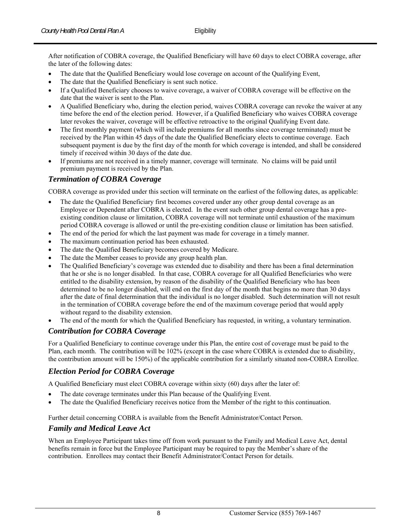After notification of COBRA coverage, the Qualified Beneficiary will have 60 days to elect COBRA coverage, after the later of the following dates:

- The date that the Qualified Beneficiary would lose coverage on account of the Qualifying Event,
- The date that the Qualified Beneficiary is sent such notice.
- If a Qualified Beneficiary chooses to waive coverage, a waiver of COBRA coverage will be effective on the date that the waiver is sent to the Plan.
- A Qualified Beneficiary who, during the election period, waives COBRA coverage can revoke the waiver at any time before the end of the election period. However, if a Qualified Beneficiary who waives COBRA coverage later revokes the waiver, coverage will be effective retroactive to the original Qualifying Event date.
- The first monthly payment (which will include premiums for all months since coverage terminated) must be received by the Plan within 45 days of the date the Qualified Beneficiary elects to continue coverage. Each subsequent payment is due by the first day of the month for which coverage is intended, and shall be considered timely if received within 30 days of the date due.
- If premiums are not received in a timely manner, coverage will terminate. No claims will be paid until premium payment is received by the Plan.

#### *Termination of COBRA Coverage*

COBRA coverage as provided under this section will terminate on the earliest of the following dates, as applicable:

- The date the Qualified Beneficiary first becomes covered under any other group dental coverage as an Employee or Dependent after COBRA is elected. In the event such other group dental coverage has a preexisting condition clause or limitation, COBRA coverage will not terminate until exhaustion of the maximum period COBRA coverage is allowed or until the pre-existing condition clause or limitation has been satisfied.
- The end of the period for which the last payment was made for coverage in a timely manner.
- The maximum continuation period has been exhausted.
- The date the Qualified Beneficiary becomes covered by Medicare.
- The date the Member ceases to provide any group health plan.
- The Qualified Beneficiary's coverage was extended due to disability and there has been a final determination that he or she is no longer disabled. In that case, COBRA coverage for all Qualified Beneficiaries who were entitled to the disability extension, by reason of the disability of the Qualified Beneficiary who has been determined to be no longer disabled, will end on the first day of the month that begins no more than 30 days after the date of final determination that the individual is no longer disabled. Such determination will not result in the termination of COBRA coverage before the end of the maximum coverage period that would apply without regard to the disability extension.
- The end of the month for which the Qualified Beneficiary has requested, in writing, a voluntary termination.

#### *Contribution for COBRA Coverage*

For a Qualified Beneficiary to continue coverage under this Plan, the entire cost of coverage must be paid to the Plan, each month. The contribution will be 102% (except in the case where COBRA is extended due to disability, the contribution amount will be 150%) of the applicable contribution for a similarly situated non-COBRA Enrollee.

#### *Election Period for COBRA Coverage*

A Qualified Beneficiary must elect COBRA coverage within sixty (60) days after the later of:

- The date coverage terminates under this Plan because of the Qualifying Event.
- The date the Qualified Beneficiary receives notice from the Member of the right to this continuation.

Further detail concerning COBRA is available from the Benefit Administrator/Contact Person.

#### *Family and Medical Leave Act*

When an Employee Participant takes time off from work pursuant to the Family and Medical Leave Act, dental benefits remain in force but the Employee Participant may be required to pay the Member's share of the contribution. Enrollees may contact their Benefit Administrator/Contact Person for details.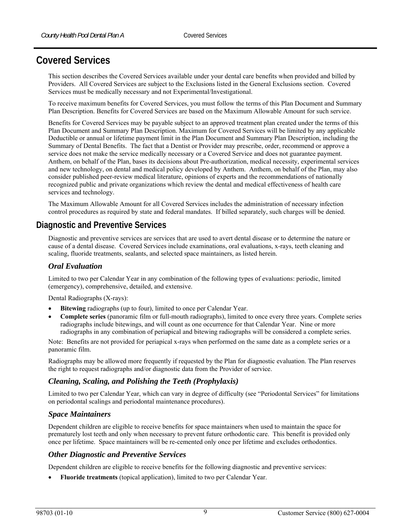# **Covered Services**

This section describes the Covered Services available under your dental care benefits when provided and billed by Providers. All Covered Services are subject to the Exclusions listed in the General Exclusions section. Covered Services must be medically necessary and not Experimental/Investigational.

To receive maximum benefits for Covered Services, you must follow the terms of this Plan Document and Summary Plan Description. Benefits for Covered Services are based on the Maximum Allowable Amount for such service.

Benefits for Covered Services may be payable subject to an approved treatment plan created under the terms of this Plan Document and Summary Plan Description. Maximum for Covered Services will be limited by any applicable Deductible or annual or lifetime payment limit in the Plan Document and Summary Plan Description, including the Summary of Dental Benefits. The fact that a Dentist or Provider may prescribe, order, recommend or approve a service does not make the service medically necessary or a Covered Service and does not guarantee payment. Anthem, on behalf of the Plan, bases its decisions about Pre-authorization, medical necessity, experimental services and new technology, on dental and medical policy developed by Anthem. Anthem, on behalf of the Plan, may also consider published peer-review medical literature, opinions of experts and the recommendations of nationally recognized public and private organizations which review the dental and medical effectiveness of health care services and technology.

The Maximum Allowable Amount for all Covered Services includes the administration of necessary infection control procedures as required by state and federal mandates. If billed separately, such charges will be denied.

# **Diagnostic and Preventive Services**

Diagnostic and preventive services are services that are used to avert dental disease or to determine the nature or cause of a dental disease. Covered Services include examinations, oral evaluations, x-rays, teeth cleaning and scaling, fluoride treatments, sealants, and selected space maintainers, as listed herein.

#### *Oral Evaluation*

Limited to two per Calendar Year in any combination of the following types of evaluations: periodic, limited (emergency), comprehensive, detailed, and extensive.

Dental Radiographs (X-rays):

- **Bitewing** radiographs (up to four), limited to once per Calendar Year.
- **Complete series** (panoramic film or full-mouth radiographs), limited to once every three years. Complete series radiographs include bitewings, and will count as one occurrence for that Calendar Year. Nine or more radiographs in any combination of periapical and bitewing radiographs will be considered a complete series.

Note: Benefits are not provided for periapical x-rays when performed on the same date as a complete series or a panoramic film.

Radiographs may be allowed more frequently if requested by the Plan for diagnostic evaluation. The Plan reserves the right to request radiographs and/or diagnostic data from the Provider of service.

#### *Cleaning, Scaling, and Polishing the Teeth (Prophylaxis)*

Limited to two per Calendar Year, which can vary in degree of difficulty (see "Periodontal Services" for limitations on periodontal scalings and periodontal maintenance procedures).

#### *Space Maintainers*

Dependent children are eligible to receive benefits for space maintainers when used to maintain the space for prematurely lost teeth and only when necessary to prevent future orthodontic care. This benefit is provided only once per lifetime. Space maintainers will be re-cemented only once per lifetime and excludes orthodontics.

#### *Other Diagnostic and Preventive Services*

Dependent children are eligible to receive benefits for the following diagnostic and preventive services:

**Fluoride treatments** (topical application), limited to two per Calendar Year.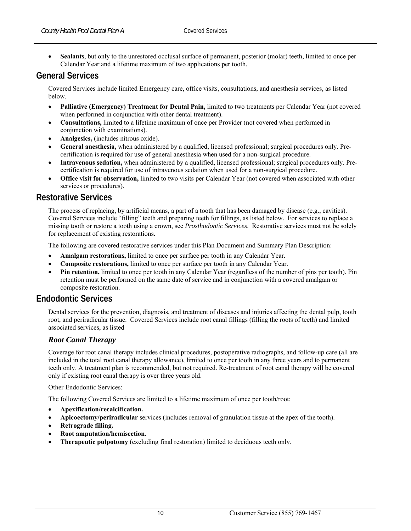**Sealants**, but only to the unrestored occlusal surface of permanent, posterior (molar) teeth, limited to once per Calendar Year and a lifetime maximum of two applications per tooth.

# **General Services**

Covered Services include limited Emergency care, office visits, consultations, and anesthesia services, as listed below.

- **Palliative (Emergency) Treatment for Dental Pain,** limited to two treatments per Calendar Year (not covered when performed in conjunction with other dental treatment).
- **Consultations,** limited to a lifetime maximum of once per Provider (not covered when performed in conjunction with examinations).
- **Analgesics,** (includes nitrous oxide).
- **General anesthesia,** when administered by a qualified, licensed professional; surgical procedures only. Precertification is required for use of general anesthesia when used for a non-surgical procedure.
- **Intravenous sedation,** when administered by a qualified, licensed professional; surgical procedures only. Precertification is required for use of intravenous sedation when used for a non-surgical procedure.
- **Office visit for observation,** limited to two visits per Calendar Year (not covered when associated with other services or procedures).

#### **Restorative Services**

The process of replacing, by artificial means, a part of a tooth that has been damaged by disease (e.g., cavities). Covered Services include "filling" teeth and preparing teeth for fillings, as listed below. For services to replace a missing tooth or restore a tooth using a crown, see *Prosthodontic Services*. Restorative services must not be solely for replacement of existing restorations.

The following are covered restorative services under this Plan Document and Summary Plan Description:

- **Amalgam restorations,** limited to once per surface per tooth in any Calendar Year.
- **Composite restorations,** limited to once per surface per tooth in any Calendar Year.
- **Pin retention,** limited to once per tooth in any Calendar Year (regardless of the number of pins per tooth). Pin retention must be performed on the same date of service and in conjunction with a covered amalgam or composite restoration.

# **Endodontic Services**

Dental services for the prevention, diagnosis, and treatment of diseases and injuries affecting the dental pulp, tooth root, and periradicular tissue. Covered Services include root canal fillings (filling the roots of teeth) and limited associated services, as listed

#### *Root Canal Therapy*

Coverage for root canal therapy includes clinical procedures, postoperative radiographs, and follow-up care (all are included in the total root canal therapy allowance), limited to once per tooth in any three years and to permanent teeth only. A treatment plan is recommended, but not required. Re-treatment of root canal therapy will be covered only if existing root canal therapy is over three years old.

Other Endodontic Services:

The following Covered Services are limited to a lifetime maximum of once per tooth/root:

- **Apexification/recalcification.**
- **Apicoectomy/periradicular** services (includes removal of granulation tissue at the apex of the tooth).
- **Retrograde filling.**
- **Root amputation/hemisection.**
- **Therapeutic pulpotomy** (excluding final restoration) limited to deciduous teeth only.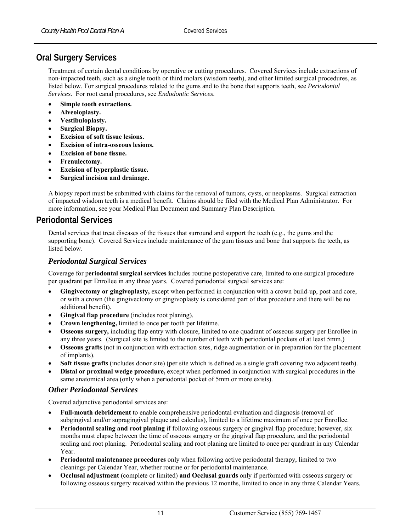# **Oral Surgery Services**

Treatment of certain dental conditions by operative or cutting procedures. Covered Services include extractions of non-impacted teeth, such as a single tooth or third molars (wisdom teeth), and other limited surgical procedures, as listed below. For surgical procedures related to the gums and to the bone that supports teeth, see *Periodontal Services*. For root canal procedures, see *Endodontic Services*.

- **Simple tooth extractions.**
- **Alveoloplasty.**
- **Vestibuloplasty.**
- **Surgical Biopsy.**
- **Excision of soft tissue lesions.**
- **Excision of intra-osseous lesions.**
- **Excision of bone tissue.**
- **Frenulectomy.**
- **Excision of hyperplastic tissue.**
- **Surgical incision and drainage.**

A biopsy report must be submitted with claims for the removal of tumors, cysts, or neoplasms. Surgical extraction of impacted wisdom teeth is a medical benefit. Claims should be filed with the Medical Plan Administrator. For more information, see your Medical Plan Document and Summary Plan Description.

# **Periodontal Services**

Dental services that treat diseases of the tissues that surround and support the teeth (e.g., the gums and the supporting bone). Covered Services include maintenance of the gum tissues and bone that supports the teeth, as listed below.

#### *Periodontal Surgical Services*

Coverage for p**eriodontal surgical services i**ncludes routine postoperative care, limited to one surgical procedure per quadrant per Enrollee in any three years. Covered periodontal surgical services are:

- **Gingivectomy or gingivoplasty,** except when performed in conjunction with a crown build-up, post and core, or with a crown (the gingivectomy or gingivoplasty is considered part of that procedure and there will be no additional benefit).
- **Gingival flap procedure** (includes root planing).
- **Crown lengthening,** limited to once per tooth per lifetime.
- **Osseous surgery,** including flap entry with closure, limited to one quadrant of osseous surgery per Enrollee in any three years. (Surgical site is limited to the number of teeth with periodontal pockets of at least 5mm.)
- **Osseous grafts** (not in conjunction with extraction sites, ridge augmentation or in preparation for the placement of implants).
- **Soft tissue grafts** (includes donor site) (per site which is defined as a single graft covering two adjacent teeth).
- **Distal or proximal wedge procedure,** except when performed in conjunction with surgical procedures in the same anatomical area (only when a periodontal pocket of 5mm or more exists).

#### *Other Periodontal Services*

Covered adjunctive periodontal services are:

- **Full-mouth debridement** to enable comprehensive periodontal evaluation and diagnosis (removal of subgingival and/or supragingival plaque and calculus), limited to a lifetime maximum of once per Enrollee.
- **Periodontal scaling and root planing** if following osseous surgery or gingival flap procedure; however, six months must elapse between the time of osseous surgery or the gingival flap procedure, and the periodontal scaling and root planing. Periodontal scaling and root planing are limited to once per quadrant in any Calendar Year.
- **Periodontal maintenance procedures** only when following active periodontal therapy, limited to two cleanings per Calendar Year, whether routine or for periodontal maintenance.
- **Occlusal adjustment** (complete or limited) **and Occlusal guards** only if performed with osseous surgery or following osseous surgery received within the previous 12 months, limited to once in any three Calendar Years.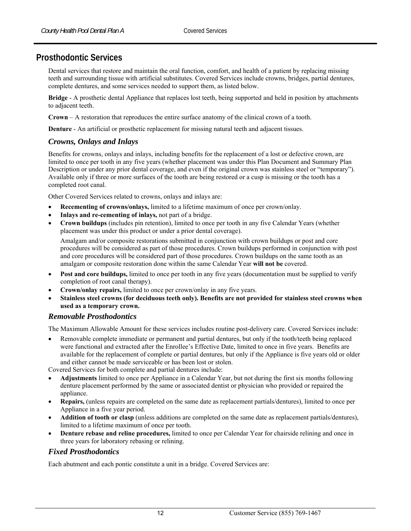# **Prosthodontic Services**

Dental services that restore and maintain the oral function, comfort, and health of a patient by replacing missing teeth and surrounding tissue with artificial substitutes. Covered Services include crowns, bridges, partial dentures, complete dentures, and some services needed to support them, as listed below.

**Bridge** - A prosthetic dental Appliance that replaces lost teeth, being supported and held in position by attachments to adjacent teeth.

**Crown** – A restoration that reproduces the entire surface anatomy of the clinical crown of a tooth.

**Denture** - An artificial or prosthetic replacement for missing natural teeth and adjacent tissues.

#### *Crowns, Onlays and Inlays*

Benefits for crowns, onlays and inlays, including benefits for the replacement of a lost or defective crown, are limited to once per tooth in any five years (whether placement was under this Plan Document and Summary Plan Description or under any prior dental coverage, and even if the original crown was stainless steel or "temporary"). Available only if three or more surfaces of the tooth are being restored or a cusp is missing or the tooth has a completed root canal.

Other Covered Services related to crowns, onlays and inlays are:

- **Recementing of crowns/onlays,** limited to a lifetime maximum of once per crown/onlay.
- **Inlays and re-cementing of inlays,** not part of a bridge.
- **Crown buildups** (includes pin retention), limited to once per tooth in any five Calendar Years (whether placement was under this product or under a prior dental coverage).

Amalgam and/or composite restorations submitted in conjunction with crown buildups or post and core procedures will be considered as part of those procedures. Crown buildups performed in conjunction with post and core procedures will be considered part of those procedures. Crown buildups on the same tooth as an amalgam or composite restoration done within the same Calendar Year **will not be** covered.

- **Post and core buildups,** limited to once per tooth in any five years (documentation must be supplied to verify completion of root canal therapy).
- **Crown/onlay repairs,** limited to once per crown/onlay in any five years.
- **Stainless steel crowns (for deciduous teeth only). Benefits are not provided for stainless steel crowns when used as a temporary crown.**

#### *Removable Prosthodontics*

The Maximum Allowable Amount for these services includes routine post-delivery care. Covered Services include:

 Removable complete immediate or permanent and partial dentures, but only if the tooth/teeth being replaced were functional and extracted after the Enrollee's Effective Date, limited to once in five years. Benefits are available for the replacement of complete or partial dentures, but only if the Appliance is five years old or older and either cannot be made serviceable or has been lost or stolen.

Covered Services for both complete and partial dentures include:

- **Adjustments** limited to once per Appliance in a Calendar Year, but not during the first six months following denture placement performed by the same or associated dentist or physician who provided or repaired the appliance.
- **Repairs,** (unless repairs are completed on the same date as replacement partials/dentures), limited to once per Appliance in a five year period.
- **Addition of tooth or clasp** (unless additions are completed on the same date as replacement partials/dentures), limited to a lifetime maximum of once per tooth.
- **Denture rebase and reline procedures,** limited to once per Calendar Year for chairside relining and once in three years for laboratory rebasing or relining.

#### *Fixed Prosthodontics*

Each abutment and each pontic constitute a unit in a bridge. Covered Services are: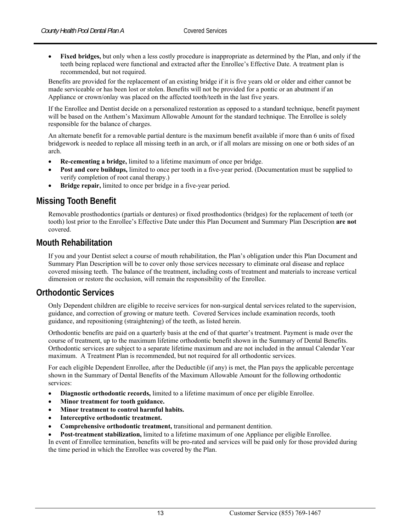**Fixed bridges,** but only when a less costly procedure is inappropriate as determined by the Plan, and only if the teeth being replaced were functional and extracted after the Enrollee's Effective Date. A treatment plan is recommended, but not required.

Benefits are provided for the replacement of an existing bridge if it is five years old or older and either cannot be made serviceable or has been lost or stolen. Benefits will not be provided for a pontic or an abutment if an Appliance or crown/onlay was placed on the affected tooth/teeth in the last five years.

If the Enrollee and Dentist decide on a personalized restoration as opposed to a standard technique, benefit payment will be based on the Anthem's Maximum Allowable Amount for the standard technique. The Enrollee is solely responsible for the balance of charges.

An alternate benefit for a removable partial denture is the maximum benefit available if more than 6 units of fixed bridgework is needed to replace all missing teeth in an arch, or if all molars are missing on one or both sides of an arch.

- **Re-cementing a bridge,** limited to a lifetime maximum of once per bridge.
- **Post and core buildups,** limited to once per tooth in a five-year period. (Documentation must be supplied to verify completion of root canal therapy.)
- **Bridge repair,** limited to once per bridge in a five-year period.

# **Missing Tooth Benefit**

Removable prosthodontics (partials or dentures) or fixed prosthodontics (bridges) for the replacement of teeth (or tooth) lost prior to the Enrollee's Effective Date under this Plan Document and Summary Plan Description **are not** covered.

# **Mouth Rehabilitation**

If you and your Dentist select a course of mouth rehabilitation, the Plan's obligation under this Plan Document and Summary Plan Description will be to cover only those services necessary to eliminate oral disease and replace covered missing teeth. The balance of the treatment, including costs of treatment and materials to increase vertical dimension or restore the occlusion, will remain the responsibility of the Enrollee.

# **Orthodontic Services**

Only Dependent children are eligible to receive services for non-surgical dental services related to the supervision, guidance, and correction of growing or mature teeth. Covered Services include examination records, tooth guidance, and repositioning (straightening) of the teeth, as listed herein.

Orthodontic benefits are paid on a quarterly basis at the end of that quarter's treatment. Payment is made over the course of treatment, up to the maximum lifetime orthodontic benefit shown in the Summary of Dental Benefits. Orthodontic services are subject to a separate lifetime maximum and are not included in the annual Calendar Year maximum. A Treatment Plan is recommended, but not required for all orthodontic services.

For each eligible Dependent Enrollee, after the Deductible (if any) is met, the Plan pays the applicable percentage shown in the Summary of Dental Benefits of the Maximum Allowable Amount for the following orthodontic services:

- **Diagnostic orthodontic records,** limited to a lifetime maximum of once per eligible Enrollee.
- **Minor treatment for tooth guidance.**
- **Minor treatment to control harmful habits.**
- **Interceptive orthodontic treatment.**
- **Comprehensive orthodontic treatment,** transitional and permanent dentition.
- **Post-treatment stabilization,** limited to a lifetime maximum of one Appliance per eligible Enrollee.

In event of Enrollee termination, benefits will be pro-rated and services will be paid only for those provided during the time period in which the Enrollee was covered by the Plan.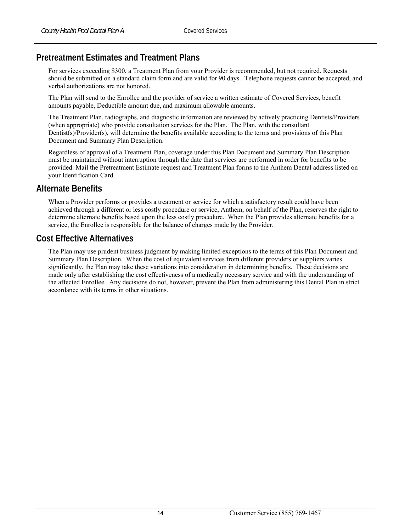# **Pretreatment Estimates and Treatment Plans**

For services exceeding \$300, a Treatment Plan from your Provider is recommended, but not required. Requests should be submitted on a standard claim form and are valid for 90 days. Telephone requests cannot be accepted, and verbal authorizations are not honored.

The Plan will send to the Enrollee and the provider of service a written estimate of Covered Services, benefit amounts payable, Deductible amount due, and maximum allowable amounts.

The Treatment Plan, radiographs, and diagnostic information are reviewed by actively practicing Dentists/Providers (when appropriate) who provide consultation services for the Plan. The Plan, with the consultant Dentist(s)/Provider(s), will determine the benefits available according to the terms and provisions of this Plan Document and Summary Plan Description.

Regardless of approval of a Treatment Plan, coverage under this Plan Document and Summary Plan Description must be maintained without interruption through the date that services are performed in order for benefits to be provided. Mail the Pretreatment Estimate request and Treatment Plan forms to the Anthem Dental address listed on your Identification Card.

## **Alternate Benefits**

When a Provider performs or provides a treatment or service for which a satisfactory result could have been achieved through a different or less costly procedure or service, Anthem, on behalf of the Plan, reserves the right to determine alternate benefits based upon the less costly procedure. When the Plan provides alternate benefits for a service, the Enrollee is responsible for the balance of charges made by the Provider.

# **Cost Effective Alternatives**

The Plan may use prudent business judgment by making limited exceptions to the terms of this Plan Document and Summary Plan Description. When the cost of equivalent services from different providers or suppliers varies significantly, the Plan may take these variations into consideration in determining benefits. These decisions are made only after establishing the cost effectiveness of a medically necessary service and with the understanding of the affected Enrollee. Any decisions do not, however, prevent the Plan from administering this Dental Plan in strict accordance with its terms in other situations.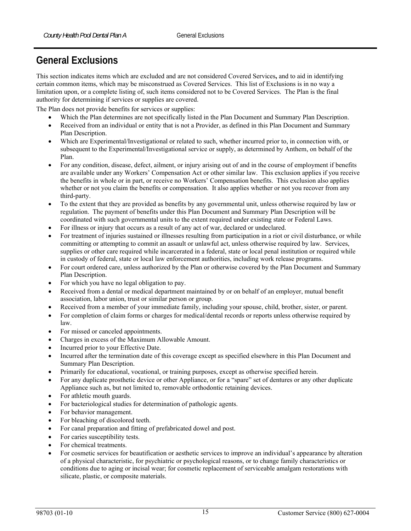# **General Exclusions**

This section indicates items which are excluded and are not considered Covered Services**,** and to aid in identifying certain common items, which may be misconstrued as Covered Services. This list of Exclusions is in no way a limitation upon, or a complete listing of, such items considered not to be Covered Services. The Plan is the final authority for determining if services or supplies are covered.

The Plan does not provide benefits for services or supplies:

- Which the Plan determines are not specifically listed in the Plan Document and Summary Plan Description.
- Received from an individual or entity that is not a Provider, as defined in this Plan Document and Summary Plan Description.
- Which are Experimental/Investigational or related to such, whether incurred prior to, in connection with, or subsequent to the Experimental/Investigational service or supply, as determined by Anthem, on behalf of the Plan.
- For any condition, disease, defect, ailment, or injury arising out of and in the course of employment if benefits are available under any Workers' Compensation Act or other similar law. This exclusion applies if you receive the benefits in whole or in part, or receive no Workers' Compensation benefits. This exclusion also applies whether or not you claim the benefits or compensation. It also applies whether or not you recover from any third-party.
- To the extent that they are provided as benefits by any governmental unit, unless otherwise required by law or regulation. The payment of benefits under this Plan Document and Summary Plan Description will be coordinated with such governmental units to the extent required under existing state or Federal Laws.
- For illness or injury that occurs as a result of any act of war, declared or undeclared.
- For treatment of injuries sustained or illnesses resulting from participation in a riot or civil disturbance, or while committing or attempting to commit an assault or unlawful act, unless otherwise required by law. Services, supplies or other care required while incarcerated in a federal, state or local penal institution or required while in custody of federal, state or local law enforcement authorities, including work release programs.
- For court ordered care, unless authorized by the Plan or otherwise covered by the Plan Document and Summary Plan Description.
- For which you have no legal obligation to pay.
- Received from a dental or medical department maintained by or on behalf of an employer, mutual benefit association, labor union, trust or similar person or group.
- Received from a member of your immediate family, including your spouse, child, brother, sister, or parent.
- For completion of claim forms or charges for medical/dental records or reports unless otherwise required by law.
- For missed or canceled appointments.
- Charges in excess of the Maximum Allowable Amount.
- Incurred prior to your Effective Date.
- Incurred after the termination date of this coverage except as specified elsewhere in this Plan Document and Summary Plan Description.
- Primarily for educational, vocational, or training purposes, except as otherwise specified herein.
- For any duplicate prosthetic device or other Appliance, or for a "spare" set of dentures or any other duplicate Appliance such as, but not limited to, removable orthodontic retaining devices.
- For athletic mouth guards.
- For bacteriological studies for determination of pathologic agents.
- For behavior management.
- For bleaching of discolored teeth.
- For canal preparation and fitting of prefabricated dowel and post.
- For caries susceptibility tests.
- For chemical treatments.
- For cosmetic services for beautification or aesthetic services to improve an individual's appearance by alteration of a physical characteristic, for psychiatric or psychological reasons, or to change family characteristics or conditions due to aging or incisal wear; for cosmetic replacement of serviceable amalgam restorations with silicate, plastic, or composite materials.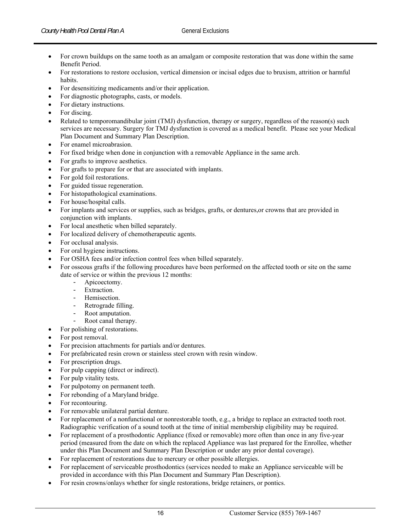- For crown buildups on the same tooth as an amalgam or composite restoration that was done within the same Benefit Period.
- For restorations to restore occlusion, vertical dimension or incisal edges due to bruxism, attrition or harmful habits.
- For desensitizing medicaments and/or their application.
- For diagnostic photographs, casts, or models.
- For dietary instructions.
- For discing.
- Related to temporomandibular joint (TMJ) dysfunction, therapy or surgery, regardless of the reason(s) such services are necessary. Surgery for TMJ dysfunction is covered as a medical benefit. Please see your Medical Plan Document and Summary Plan Description.
- For enamel microabrasion.
- For fixed bridge when done in conjunction with a removable Appliance in the same arch.
- For grafts to improve aesthetics.
- For grafts to prepare for or that are associated with implants.
- For gold foil restorations.
- For guided tissue regeneration.
- For histopathological examinations.
- For house/hospital calls.
- For implants and services or supplies, such as bridges, grafts, or dentures,or crowns that are provided in conjunction with implants.
- For local anesthetic when billed separately.
- For localized delivery of chemotherapeutic agents.
- For occlusal analysis.
- For oral hygiene instructions.
- For OSHA fees and/or infection control fees when billed separately.
- For osseous grafts if the following procedures have been performed on the affected tooth or site on the same date of service or within the previous 12 months:
	- Apicoectomy.
	- Extraction.
	- Hemisection.
	- Retrograde filling.
	- Root amputation.
	- Root canal therapy.
	- For polishing of restorations.
- For post removal.
- For precision attachments for partials and/or dentures.
- For prefabricated resin crown or stainless steel crown with resin window.
- For prescription drugs.
- For pulp capping (direct or indirect).
- For pulp vitality tests.
- For pulpotomy on permanent teeth.
- For rebonding of a Maryland bridge.
- For recontouring.
- For removable unilateral partial denture.
- For replacement of a nonfunctional or nonrestorable tooth, e.g., a bridge to replace an extracted tooth root. Radiographic verification of a sound tooth at the time of initial membership eligibility may be required.
- For replacement of a prosthodontic Appliance (fixed or removable) more often than once in any five-year period (measured from the date on which the replaced Appliance was last prepared for the Enrollee, whether under this Plan Document and Summary Plan Description or under any prior dental coverage).
- For replacement of restorations due to mercury or other possible allergies.
- For replacement of serviceable prosthodontics (services needed to make an Appliance serviceable will be provided in accordance with this Plan Document and Summary Plan Description).
- For resin crowns/onlays whether for single restorations, bridge retainers, or pontics.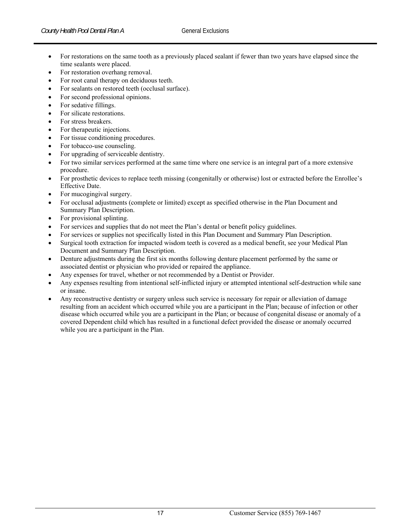- For restorations on the same tooth as a previously placed sealant if fewer than two years have elapsed since the time sealants were placed.
- For restoration overhang removal.
- For root canal therapy on deciduous teeth.
- For sealants on restored teeth (occlusal surface).
- For second professional opinions.
- For sedative fillings.
- For silicate restorations.
- For stress breakers.
- For therapeutic injections.
- For tissue conditioning procedures.
- For tobacco-use counseling.
- For upgrading of serviceable dentistry.
- For two similar services performed at the same time where one service is an integral part of a more extensive procedure.
- For prosthetic devices to replace teeth missing (congenitally or otherwise) lost or extracted before the Enrollee's Effective Date.
- For mucogingival surgery.
- For occlusal adjustments (complete or limited) except as specified otherwise in the Plan Document and Summary Plan Description.
- For provisional splinting.
- For services and supplies that do not meet the Plan's dental or benefit policy guidelines.
- For services or supplies not specifically listed in this Plan Document and Summary Plan Description.
- Surgical tooth extraction for impacted wisdom teeth is covered as a medical benefit, see your Medical Plan Document and Summary Plan Description.
- Denture adjustments during the first six months following denture placement performed by the same or associated dentist or physician who provided or repaired the appliance.
- Any expenses for travel, whether or not recommended by a Dentist or Provider.
- Any expenses resulting from intentional self-inflicted injury or attempted intentional self-destruction while sane or insane.
- Any reconstructive dentistry or surgery unless such service is necessary for repair or alleviation of damage resulting from an accident which occurred while you are a participant in the Plan; because of infection or other disease which occurred while you are a participant in the Plan; or because of congenital disease or anomaly of a covered Dependent child which has resulted in a functional defect provided the disease or anomaly occurred while you are a participant in the Plan.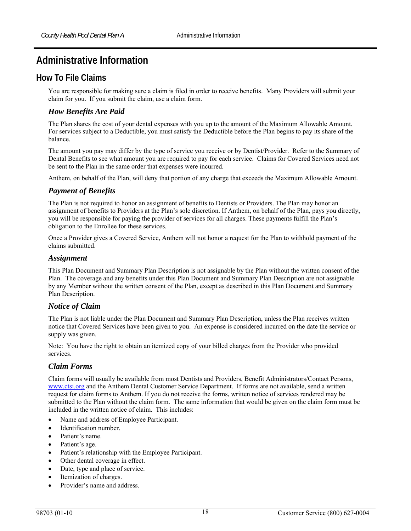# **Administrative Information**

# **How To File Claims**

You are responsible for making sure a claim is filed in order to receive benefits. Many Providers will submit your claim for you. If you submit the claim, use a claim form.

## *How Benefits Are Paid*

The Plan shares the cost of your dental expenses with you up to the amount of the Maximum Allowable Amount. For services subject to a Deductible, you must satisfy the Deductible before the Plan begins to pay its share of the balance.

The amount you pay may differ by the type of service you receive or by Dentist/Provider. Refer to the Summary of Dental Benefits to see what amount you are required to pay for each service. Claims for Covered Services need not be sent to the Plan in the same order that expenses were incurred.

Anthem, on behalf of the Plan, will deny that portion of any charge that exceeds the Maximum Allowable Amount.

## *Payment of Benefits*

The Plan is not required to honor an assignment of benefits to Dentists or Providers. The Plan may honor an assignment of benefits to Providers at the Plan's sole discretion. If Anthem, on behalf of the Plan, pays you directly, you will be responsible for paying the provider of services for all charges. These payments fulfill the Plan's obligation to the Enrollee for these services.

Once a Provider gives a Covered Service, Anthem will not honor a request for the Plan to withhold payment of the claims submitted.

#### *Assignment*

This Plan Document and Summary Plan Description is not assignable by the Plan without the written consent of the Plan. The coverage and any benefits under this Plan Document and Summary Plan Description are not assignable by any Member without the written consent of the Plan, except as described in this Plan Document and Summary Plan Description.

#### *Notice of Claim*

The Plan is not liable under the Plan Document and Summary Plan Description, unless the Plan receives written notice that Covered Services have been given to you. An expense is considered incurred on the date the service or supply was given.

Note: You have the right to obtain an itemized copy of your billed charges from the Provider who provided services.

#### *Claim Forms*

Claim forms will usually be available from most Dentists and Providers, Benefit Administrators/Contact Persons, www.ctsi.org and the Anthem Dental Customer Service Department. If forms are not available, send a written request for claim forms to Anthem. If you do not receive the forms, written notice of services rendered may be submitted to the Plan without the claim form. The same information that would be given on the claim form must be included in the written notice of claim. This includes:

- Name and address of Employee Participant.
- Identification number.
- Patient's name.
- Patient's age.
- Patient's relationship with the Employee Participant.
- Other dental coverage in effect.
- Date, type and place of service.
- Itemization of charges.
- Provider's name and address.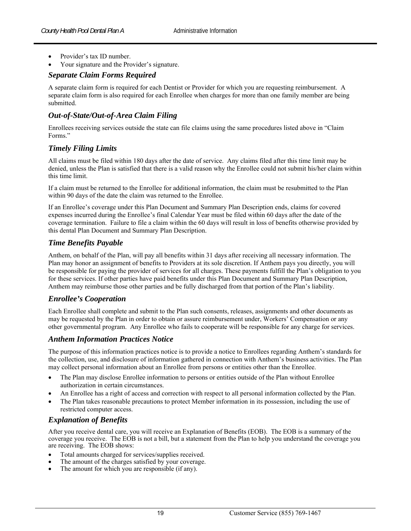- Provider's tax ID number.
- Your signature and the Provider's signature.

#### *Separate Claim Forms Required*

A separate claim form is required for each Dentist or Provider for which you are requesting reimbursement. A separate claim form is also required for each Enrollee when charges for more than one family member are being submitted.

#### *Out-of-State/Out-of-Area Claim Filing*

Enrollees receiving services outside the state can file claims using the same procedures listed above in "Claim Forms."

#### *Timely Filing Limits*

All claims must be filed within 180 days after the date of service. Any claims filed after this time limit may be denied, unless the Plan is satisfied that there is a valid reason why the Enrollee could not submit his/her claim within this time limit.

If a claim must be returned to the Enrollee for additional information, the claim must be resubmitted to the Plan within 90 days of the date the claim was returned to the Enrollee.

If an Enrollee's coverage under this Plan Document and Summary Plan Description ends, claims for covered expenses incurred during the Enrollee's final Calendar Year must be filed within 60 days after the date of the coverage termination. Failure to file a claim within the 60 days will result in loss of benefits otherwise provided by this dental Plan Document and Summary Plan Description.

#### *Time Benefits Payable*

Anthem, on behalf of the Plan, will pay all benefits within 31 days after receiving all necessary information. The Plan may honor an assignment of benefits to Providers at its sole discretion. If Anthem pays you directly, you will be responsible for paying the provider of services for all charges. These payments fulfill the Plan's obligation to you for these services. If other parties have paid benefits under this Plan Document and Summary Plan Description, Anthem may reimburse those other parties and be fully discharged from that portion of the Plan's liability.

#### *Enrollee's Cooperation*

Each Enrollee shall complete and submit to the Plan such consents, releases, assignments and other documents as may be requested by the Plan in order to obtain or assure reimbursement under, Workers' Compensation or any other governmental program. Any Enrollee who fails to cooperate will be responsible for any charge for services.

#### *Anthem Information Practices Notice*

The purpose of this information practices notice is to provide a notice to Enrollees regarding Anthem's standards for the collection, use, and disclosure of information gathered in connection with Anthem's business activities. The Plan may collect personal information about an Enrollee from persons or entities other than the Enrollee.

- The Plan may disclose Enrollee information to persons or entities outside of the Plan without Enrollee authorization in certain circumstances.
- An Enrollee has a right of access and correction with respect to all personal information collected by the Plan.
- The Plan takes reasonable precautions to protect Member information in its possession, including the use of restricted computer access.

#### *Explanation of Benefits*

After you receive dental care, you will receive an Explanation of Benefits (EOB). The EOB is a summary of the coverage you receive. The EOB is not a bill, but a statement from the Plan to help you understand the coverage you are receiving. The EOB shows:

- Total amounts charged for services/supplies received.
- The amount of the charges satisfied by your coverage.
- The amount for which you are responsible (if any).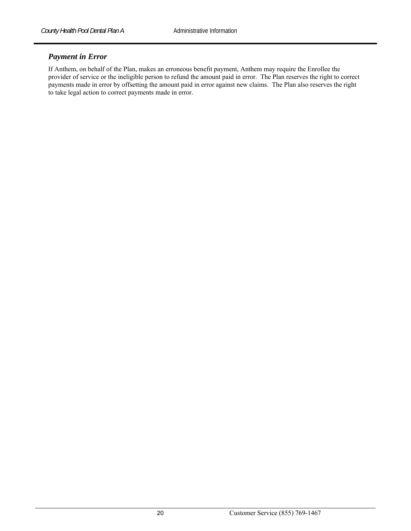#### *Payment in Error*

If Anthem, on behalf of the Plan, makes an erroneous benefit payment, Anthem may require the Enrollee the provider of service or the ineligible person to refund the amount paid in error. The Plan reserves the right to correct payments made in error by offsetting the amount paid in error against new claims. The Plan also reserves the right to take legal action to correct payments made in error.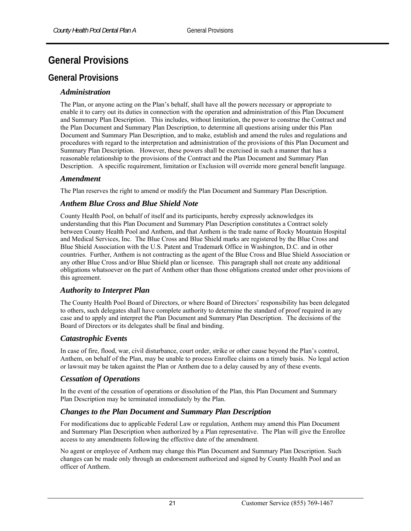# **General Provisions**

# **General Provisions**

#### *Administration*

The Plan, or anyone acting on the Plan's behalf, shall have all the powers necessary or appropriate to enable it to carry out its duties in connection with the operation and administration of this Plan Document and Summary Plan Description. This includes, without limitation, the power to construe the Contract and the Plan Document and Summary Plan Description, to determine all questions arising under this Plan Document and Summary Plan Description, and to make, establish and amend the rules and regulations and procedures with regard to the interpretation and administration of the provisions of this Plan Document and Summary Plan Description. However, these powers shall be exercised in such a manner that has a reasonable relationship to the provisions of the Contract and the Plan Document and Summary Plan Description. A specific requirement, limitation or Exclusion will override more general benefit language.

#### *Amendment*

The Plan reserves the right to amend or modify the Plan Document and Summary Plan Description.

#### *Anthem Blue Cross and Blue Shield Note*

County Health Pool, on behalf of itself and its participants, hereby expressly acknowledges its understanding that this Plan Document and Summary Plan Description constitutes a Contract solely between County Health Pool and Anthem, and that Anthem is the trade name of Rocky Mountain Hospital and Medical Services, Inc. The Blue Cross and Blue Shield marks are registered by the Blue Cross and Blue Shield Association with the U.S. Patent and Trademark Office in Washington, D.C. and in other countries. Further, Anthem is not contracting as the agent of the Blue Cross and Blue Shield Association or any other Blue Cross and/or Blue Shield plan or licensee. This paragraph shall not create any additional obligations whatsoever on the part of Anthem other than those obligations created under other provisions of this agreement.

#### *Authority to Interpret Plan*

The County Health Pool Board of Directors, or where Board of Directors' responsibility has been delegated to others, such delegates shall have complete authority to determine the standard of proof required in any case and to apply and interpret the Plan Document and Summary Plan Description. The decisions of the Board of Directors or its delegates shall be final and binding.

#### *Catastrophic Events*

In case of fire, flood, war, civil disturbance, court order, strike or other cause beyond the Plan's control, Anthem, on behalf of the Plan, may be unable to process Enrollee claims on a timely basis. No legal action or lawsuit may be taken against the Plan or Anthem due to a delay caused by any of these events.

#### *Cessation of Operations*

In the event of the cessation of operations or dissolution of the Plan, this Plan Document and Summary Plan Description may be terminated immediately by the Plan.

#### *Changes to the Plan Document and Summary Plan Description*

For modifications due to applicable Federal Law or regulation, Anthem may amend this Plan Document and Summary Plan Description when authorized by a Plan representative. The Plan will give the Enrollee access to any amendments following the effective date of the amendment.

No agent or employee of Anthem may change this Plan Document and Summary Plan Description. Such changes can be made only through an endorsement authorized and signed by County Health Pool and an officer of Anthem.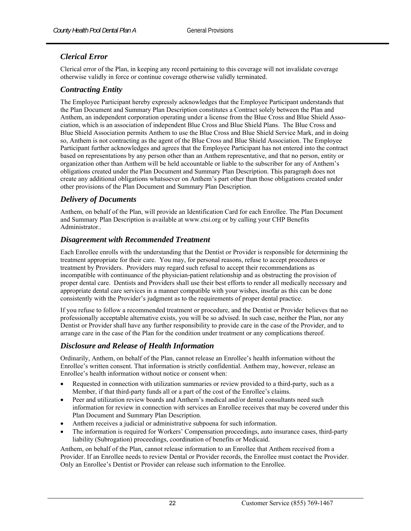#### *Clerical Error*

Clerical error of the Plan, in keeping any record pertaining to this coverage will not invalidate coverage otherwise validly in force or continue coverage otherwise validly terminated.

#### *Contracting Entity*

The Employee Participant hereby expressly acknowledges that the Employee Participant understands that the Plan Document and Summary Plan Description constitutes a Contract solely between the Plan and Anthem, an independent corporation operating under a license from the Blue Cross and Blue Shield Association, which is an association of independent Blue Cross and Blue Shield Plans. The Blue Cross and Blue Shield Association permits Anthem to use the Blue Cross and Blue Shield Service Mark, and in doing so, Anthem is not contracting as the agent of the Blue Cross and Blue Shield Association. The Employee Participant further acknowledges and agrees that the Employee Participant has not entered into the contract based on representations by any person other than an Anthem representative, and that no person, entity or organization other than Anthem will be held accountable or liable to the subscriber for any of Anthem's obligations created under the Plan Document and Summary Plan Description. This paragraph does not create any additional obligations whatsoever on Anthem's part other than those obligations created under other provisions of the Plan Document and Summary Plan Description.

#### *Delivery of Documents*

Anthem, on behalf of the Plan, will provide an Identification Card for each Enrollee. The Plan Document and Summary Plan Description is available at www.ctsi.org or by calling your CHP Benefits Administrator..

#### *Disagreement with Recommended Treatment*

Each Enrollee enrolls with the understanding that the Dentist or Provider is responsible for determining the treatment appropriate for their care. You may, for personal reasons, refuse to accept procedures or treatment by Providers. Providers may regard such refusal to accept their recommendations as incompatible with continuance of the physician-patient relationship and as obstructing the provision of proper dental care. Dentists and Providers shall use their best efforts to render all medically necessary and appropriate dental care services in a manner compatible with your wishes, insofar as this can be done consistently with the Provider's judgment as to the requirements of proper dental practice.

If you refuse to follow a recommended treatment or procedure, and the Dentist or Provider believes that no professionally acceptable alternative exists, you will be so advised. In such case, neither the Plan, nor any Dentist or Provider shall have any further responsibility to provide care in the case of the Provider, and to arrange care in the case of the Plan for the condition under treatment or any complications thereof.

#### *Disclosure and Release of Health Information*

Ordinarily, Anthem, on behalf of the Plan, cannot release an Enrollee's health information without the Enrollee's written consent. That information is strictly confidential. Anthem may, however, release an Enrollee's health information without notice or consent when:

- Requested in connection with utilization summaries or review provided to a third-party, such as a Member, if that third-party funds all or a part of the cost of the Enrollee's claims.
- Peer and utilization review boards and Anthem's medical and/or dental consultants need such information for review in connection with services an Enrollee receives that may be covered under this Plan Document and Summary Plan Description.
- Anthem receives a judicial or administrative subpoena for such information.
- The information is required for Workers' Compensation proceedings, auto insurance cases, third-party liability (Subrogation) proceedings, coordination of benefits or Medicaid.

Anthem, on behalf of the Plan, cannot release information to an Enrollee that Anthem received from a Provider. If an Enrollee needs to review Dental or Provider records, the Enrollee must contact the Provider. Only an Enrollee's Dentist or Provider can release such information to the Enrollee.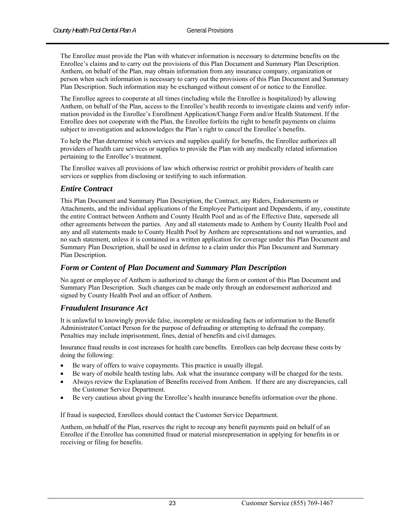The Enrollee must provide the Plan with whatever information is necessary to determine benefits on the Enrollee's claims and to carry out the provisions of this Plan Document and Summary Plan Description. Anthem, on behalf of the Plan, may obtain information from any insurance company, organization or person when such information is necessary to carry out the provisions of this Plan Document and Summary Plan Description. Such information may be exchanged without consent of or notice to the Enrollee.

The Enrollee agrees to cooperate at all times (including while the Enrollee is hospitalized) by allowing Anthem, on behalf of the Plan, access to the Enrollee's health records to investigate claims and verify information provided in the Enrollee's Enrollment Application/Change Form and/or Health Statement. If the Enrollee does not cooperate with the Plan, the Enrollee forfeits the right to benefit payments on claims subject to investigation and acknowledges the Plan's right to cancel the Enrollee's benefits.

To help the Plan determine which services and supplies qualify for benefits, the Enrollee authorizes all providers of health care services or supplies to provide the Plan with any medically related information pertaining to the Enrollee's treatment.

The Enrollee waives all provisions of law which otherwise restrict or prohibit providers of health care services or supplies from disclosing or testifying to such information.

#### *Entire Contract*

This Plan Document and Summary Plan Description, the Contract, any Riders, Endorsements or Attachments, and the individual applications of the Employee Participant and Dependents, if any, constitute the entire Contract between Anthem and County Health Pool and as of the Effective Date, supersede all other agreements between the parties. Any and all statements made to Anthem by County Health Pool and any and all statements made to County Health Pool by Anthem are representations and not warranties, and no such statement, unless it is contained in a written application for coverage under this Plan Document and Summary Plan Description, shall be used in defense to a claim under this Plan Document and Summary Plan Description.

#### *Form or Content of Plan Document and Summary Plan Description*

No agent or employee of Anthem is authorized to change the form or content of this Plan Document and Summary Plan Description. Such changes can be made only through an endorsement authorized and signed by County Health Pool and an officer of Anthem.

#### *Fraudulent Insurance Act*

It is unlawful to knowingly provide false, incomplete or misleading facts or information to the Benefit Administrator/Contact Person for the purpose of defrauding or attempting to defraud the company. Penalties may include imprisonment, fines, denial of benefits and civil damages.

Insurance fraud results in cost increases for health care benefits. Enrollees can help decrease these costs by doing the following:

- Be wary of offers to waive copayments. This practice is usually illegal.
- Be wary of mobile health testing labs. Ask what the insurance company will be charged for the tests.
- Always review the Explanation of Benefits received from Anthem. If there are any discrepancies, call the Customer Service Department.
- Be very cautious about giving the Enrollee's health insurance benefits information over the phone.

If fraud is suspected, Enrollees should contact the Customer Service Department.

Anthem, on behalf of the Plan, reserves the right to recoup any benefit payments paid on behalf of an Enrollee if the Enrollee has committed fraud or material misrepresentation in applying for benefits in or receiving or filing for benefits.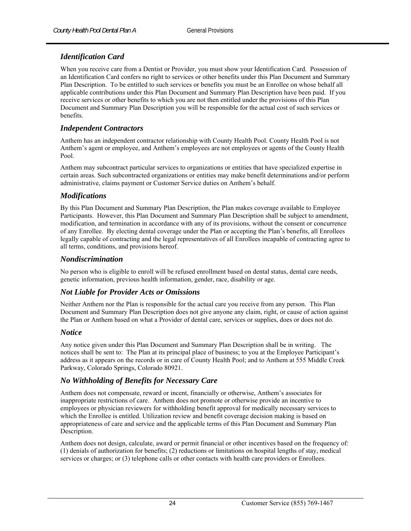#### *Identification Card*

When you receive care from a Dentist or Provider, you must show your Identification Card. Possession of an Identification Card confers no right to services or other benefits under this Plan Document and Summary Plan Description. To be entitled to such services or benefits you must be an Enrollee on whose behalf all applicable contributions under this Plan Document and Summary Plan Description have been paid. If you receive services or other benefits to which you are not then entitled under the provisions of this Plan Document and Summary Plan Description you will be responsible for the actual cost of such services or benefits.

#### *Independent Contractors*

Anthem has an independent contractor relationship with County Health Pool. County Health Pool is not Anthem's agent or employee, and Anthem's employees are not employees or agents of the County Health Pool.

Anthem may subcontract particular services to organizations or entities that have specialized expertise in certain areas. Such subcontracted organizations or entities may make benefit determinations and/or perform administrative, claims payment or Customer Service duties on Anthem's behalf.

#### *Modifications*

By this Plan Document and Summary Plan Description, the Plan makes coverage available to Employee Participants. However, this Plan Document and Summary Plan Description shall be subject to amendment, modification, and termination in accordance with any of its provisions, without the consent or concurrence of any Enrollee. By electing dental coverage under the Plan or accepting the Plan's benefits, all Enrollees legally capable of contracting and the legal representatives of all Enrollees incapable of contracting agree to all terms, conditions, and provisions hereof.

#### *Nondiscrimination*

No person who is eligible to enroll will be refused enrollment based on dental status, dental care needs, genetic information, previous health information, gender, race, disability or age.

#### *Not Liable for Provider Acts or Omissions*

Neither Anthem nor the Plan is responsible for the actual care you receive from any person. This Plan Document and Summary Plan Description does not give anyone any claim, right, or cause of action against the Plan or Anthem based on what a Provider of dental care, services or supplies, does or does not do.

#### *Notice*

Any notice given under this Plan Document and Summary Plan Description shall be in writing. The notices shall be sent to: The Plan at its principal place of business; to you at the Employee Participant's address as it appears on the records or in care of County Health Pool; and to Anthem at 555 Middle Creek Parkway, Colorado Springs, Colorado 80921.

#### *No Withholding of Benefits for Necessary Care*

Anthem does not compensate, reward or incent, financially or otherwise, Anthem's associates for inappropriate restrictions of care. Anthem does not promote or otherwise provide an incentive to employees or physician reviewers for withholding benefit approval for medically necessary services to which the Enrollee is entitled. Utilization review and benefit coverage decision making is based on appropriateness of care and service and the applicable terms of this Plan Document and Summary Plan Description.

Anthem does not design, calculate, award or permit financial or other incentives based on the frequency of: (1) denials of authorization for benefits; (2) reductions or limitations on hospital lengths of stay, medical services or charges; or (3) telephone calls or other contacts with health care providers or Enrollees.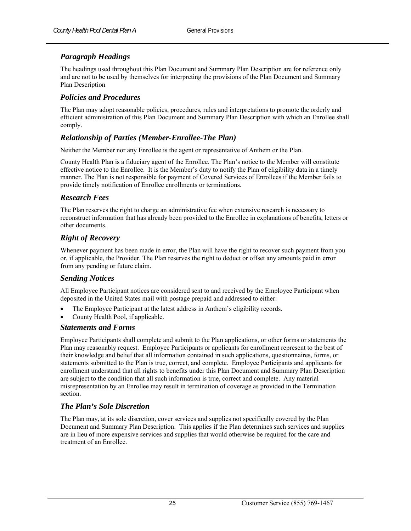#### *Paragraph Headings*

The headings used throughout this Plan Document and Summary Plan Description are for reference only and are not to be used by themselves for interpreting the provisions of the Plan Document and Summary Plan Description

#### *Policies and Procedures*

The Plan may adopt reasonable policies, procedures, rules and interpretations to promote the orderly and efficient administration of this Plan Document and Summary Plan Description with which an Enrollee shall comply.

#### *Relationship of Parties (Member-Enrollee-The Plan)*

Neither the Member nor any Enrollee is the agent or representative of Anthem or the Plan.

County Health Plan is a fiduciary agent of the Enrollee. The Plan's notice to the Member will constitute effective notice to the Enrollee. It is the Member's duty to notify the Plan of eligibility data in a timely manner. The Plan is not responsible for payment of Covered Services of Enrollees if the Member fails to provide timely notification of Enrollee enrollments or terminations.

#### *Research Fees*

The Plan reserves the right to charge an administrative fee when extensive research is necessary to reconstruct information that has already been provided to the Enrollee in explanations of benefits, letters or other documents.

#### *Right of Recovery*

Whenever payment has been made in error, the Plan will have the right to recover such payment from you or, if applicable, the Provider. The Plan reserves the right to deduct or offset any amounts paid in error from any pending or future claim.

#### *Sending Notices*

All Employee Participant notices are considered sent to and received by the Employee Participant when deposited in the United States mail with postage prepaid and addressed to either:

- The Employee Participant at the latest address in Anthem's eligibility records.
- County Health Pool, if applicable.

#### *Statements and Forms*

Employee Participants shall complete and submit to the Plan applications, or other forms or statements the Plan may reasonably request. Employee Participants or applicants for enrollment represent to the best of their knowledge and belief that all information contained in such applications, questionnaires, forms, or statements submitted to the Plan is true, correct, and complete. Employee Participants and applicants for enrollment understand that all rights to benefits under this Plan Document and Summary Plan Description are subject to the condition that all such information is true, correct and complete. Any material misrepresentation by an Enrollee may result in termination of coverage as provided in the Termination section.

#### *The Plan's Sole Discretion*

The Plan may, at its sole discretion, cover services and supplies not specifically covered by the Plan Document and Summary Plan Description. This applies if the Plan determines such services and supplies are in lieu of more expensive services and supplies that would otherwise be required for the care and treatment of an Enrollee.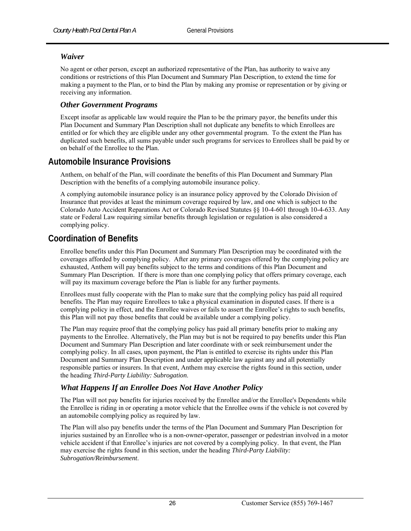#### *Waiver*

No agent or other person, except an authorized representative of the Plan, has authority to waive any conditions or restrictions of this Plan Document and Summary Plan Description, to extend the time for making a payment to the Plan, or to bind the Plan by making any promise or representation or by giving or receiving any information.

#### *Other Government Programs*

Except insofar as applicable law would require the Plan to be the primary payor, the benefits under this Plan Document and Summary Plan Description shall not duplicate any benefits to which Enrollees are entitled or for which they are eligible under any other governmental program. To the extent the Plan has duplicated such benefits, all sums payable under such programs for services to Enrollees shall be paid by or on behalf of the Enrollee to the Plan.

# **Automobile Insurance Provisions**

Anthem, on behalf of the Plan, will coordinate the benefits of this Plan Document and Summary Plan Description with the benefits of a complying automobile insurance policy.

A complying automobile insurance policy is an insurance policy approved by the Colorado Division of Insurance that provides at least the minimum coverage required by law, and one which is subject to the Colorado Auto Accident Reparations Act or Colorado Revised Statutes §§ 10-4-601 through 10-4-633. Any state or Federal Law requiring similar benefits through legislation or regulation is also considered a complying policy.

# **Coordination of Benefits**

Enrollee benefits under this Plan Document and Summary Plan Description may be coordinated with the coverages afforded by complying policy. After any primary coverages offered by the complying policy are exhausted, Anthem will pay benefits subject to the terms and conditions of this Plan Document and Summary Plan Description. If there is more than one complying policy that offers primary coverage, each will pay its maximum coverage before the Plan is liable for any further payments.

Enrollees must fully cooperate with the Plan to make sure that the complying policy has paid all required benefits. The Plan may require Enrollees to take a physical examination in disputed cases. If there is a complying policy in effect, and the Enrollee waives or fails to assert the Enrollee's rights to such benefits, this Plan will not pay those benefits that could be available under a complying policy.

The Plan may require proof that the complying policy has paid all primary benefits prior to making any payments to the Enrollee. Alternatively, the Plan may but is not be required to pay benefits under this Plan Document and Summary Plan Description and later coordinate with or seek reimbursement under the complying policy. In all cases, upon payment, the Plan is entitled to exercise its rights under this Plan Document and Summary Plan Description and under applicable law against any and all potentially responsible parties or insurers. In that event, Anthem may exercise the rights found in this section*,* under the heading *Third-Party Liability: Subrogation*.

#### *What Happens If an Enrollee Does Not Have Another Policy*

The Plan will not pay benefits for injuries received by the Enrollee and/or the Enrollee's Dependents while the Enrollee is riding in or operating a motor vehicle that the Enrollee owns if the vehicle is not covered by an automobile complying policy as required by law.

The Plan will also pay benefits under the terms of the Plan Document and Summary Plan Description for injuries sustained by an Enrollee who is a non-owner-operator, passenger or pedestrian involved in a motor vehicle accident if that Enrollee's injuries are not covered by a complying policy. In that event, the Plan may exercise the rights found in this section, under the heading *Third-Party Liability: Subrogation/Reimbursement*.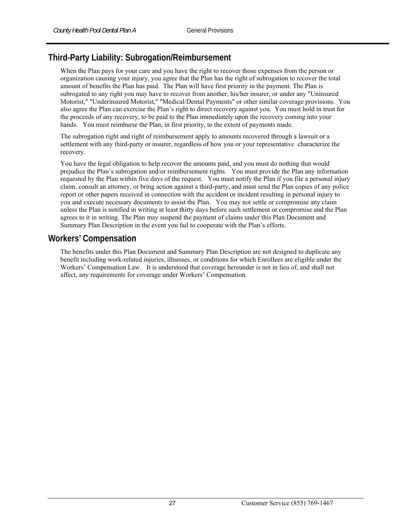# **Third-Party Liability: Subrogation/Reimbursement**

When the Plan pays for your care and you have the right to recover those expenses from the person or organization causing your injury, you agree that the Plan has the right of subrogation to recover the total amount of benefits the Plan has paid. The Plan will have first priority in the payment. The Plan is subrogated to any right you may have to recover from another, his/her insurer, or under any "Uninsured Motorist," "Underinsured Motorist," "Medical/Dental Payments" or other similar coverage provisions. You also agree the Plan can exercise the Plan's right to direct recovery against you. You must hold in trust for the proceeds of any recovery, to be paid to the Plan immediately upon the recovery coming into your hands. You must reimburse the Plan, in first priority, to the extent of payments made.

The subrogation right and right of reimbursement apply to amounts recovered through a lawsuit or a settlement with any third-party or insurer, regardless of how you or your representative characterize the recovery.

You have the legal obligation to help recover the amounts paid, and you must do nothing that would prejudice the Plan's subrogation and/or reimbursement rights. You must provide the Plan any information requested by the Plan within five days of the request. You must notify the Plan if you file a personal injury claim, consult an attorney, or bring action against a third-party, and must send the Plan copies of any police report or other papers received in connection with the accident or incident resulting in personal injury to you and execute necessary documents to assist the Plan. You may not settle or compromise any claim unless the Plan is notified in writing at least thirty days before such settlement or compromise and the Plan agrees to it in writing. The Plan may suspend the payment of claims under this Plan Document and Summary Plan Description in the event you fail to cooperate with the Plan's efforts.

# **Workers' Compensation**

The benefits under this Plan Document and Summary Plan Description are not designed to duplicate any benefit including work-related injuries, illnesses, or conditions for which Enrollees are eligible under the Workers' Compensation Law. It is understood that coverage hereunder is not in lieu of, and shall not affect, any requirements for coverage under Workers' Compensation.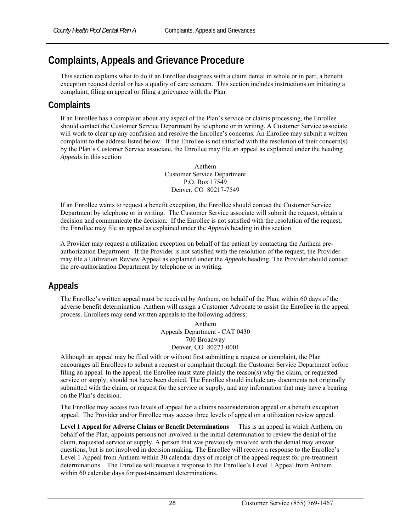# **Complaints, Appeals and Grievance Procedure**

This section explains what to do if an Enrollee disagrees with a claim denial in whole or in part, a benefit exception request denial or has a quality of care concern. This section includes instructions on initiating a complaint, filing an appeal or filing a grievance with the Plan.

# **Complaints**

If an Enrollee has a complaint about any aspect of the Plan's service or claims processing, the Enrollee should contact the Customer Service Department by telephone or in writing. A Customer Service associate will work to clear up any confusion and resolve the Enrollee's concerns. An Enrollee may submit a written complaint to the address listed below. If the Enrollee is not satisfied with the resolution of their concern(s) by the Plan's Customer Service associate, the Enrollee may file an appeal as explained under the heading *Appeals* in this section:

> Anthem Customer Service Department P.O. Box 17549 Denver, CO 80217-7549

If an Enrollee wants to request a benefit exception, the Enrollee should contact the Customer Service Department by telephone or in writing. The Customer Service associate will submit the request, obtain a decision and communicate the decision. If the Enrollee is not satisfied with the resolution of the request, the Enrollee may file an appeal as explained under the *Appeals* heading in this section.

A Provider may request a utilization exception on behalf of the patient by contacting the Anthem preauthorization Department. If the Provider is not satisfied with the resolution of the request, the Provider may file a Utilization Review Appeal as explained under the *Appeals* heading. The Provider should contact the pre-authorization Department by telephone or in writing.

# **Appeals**

The Enrollee's written appeal must be received by Anthem, on behalf of the Plan, within 60 days of the adverse benefit determination. Anthem will assign a Customer Advocate to assist the Enrollee in the appeal process. Enrollees may send written appeals to the following address:

> Anthem Appeals Department - CAT 0430 700 Broadway Denver, CO 80273-0001

Although an appeal may be filed with or without first submitting a request or complaint, the Plan encourages all Enrollees to submit a request or complaint through the Customer Service Department before filing an appeal. In the appeal, the Enrollee must state plainly the reason(s) why the claim, or requested service or supply, should not have been denied. The Enrollee should include any documents not originally submitted with the claim, or request for the service or supply, and any information that may have a bearing on the Plan's decision.

The Enrollee may access two levels of appeal for a claims reconsideration appeal or a benefit exception appeal. The Provider and/or Enrollee may access three levels of appeal on a utilization review appeal.

**Level 1 Appeal for Adverse Claims or Benefit Determinations** — This is an appeal in which Anthem, on behalf of the Plan, appoints persons not involved in the initial determination to review the denial of the claim, requested service or supply. A person that was previously involved with the denial may answer questions, but is not involved in decision making. The Enrollee will receive a response to the Enrollee's Level 1 Appeal from Anthem within 30 calendar days of receipt of the appeal request for pre-treatment determinations. The Enrollee will receive a response to the Enrollee's Level 1 Appeal from Anthem within 60 calendar days for post-treatment determinations.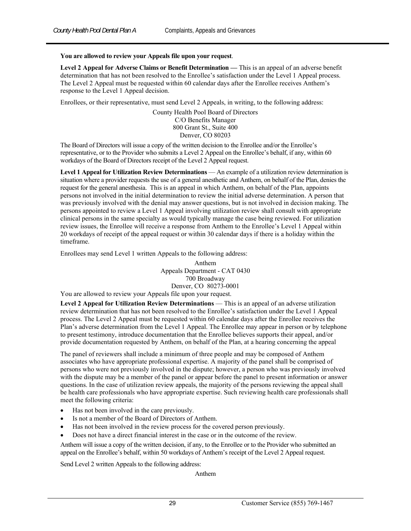#### **You are allowed to review your Appeals file upon your request**.

**Level 2 Appeal for Adverse Claims or Benefit Determination —** This is an appeal of an adverse benefit determination that has not been resolved to the Enrollee's satisfaction under the Level 1 Appeal process. The Level 2 Appeal must be requested within 60 calendar days after the Enrollee receives Anthem's response to the Level 1 Appeal decision.

Enrollees, or their representative, must send Level 2 Appeals, in writing, to the following address:

County Health Pool Board of Directors C/O Benefits Manager 800 Grant St., Suite 400 Denver, CO 80203

The Board of Directors will issue a copy of the written decision to the Enrollee and/or the Enrollee's representative, or to the Provider who submits a Level 2 Appeal on the Enrollee's behalf, if any, within 60 workdays of the Board of Directors receipt of the Level 2 Appeal request.

**Level 1 Appeal for Utilization Review Determinations** — An example of a utilization review determination is situation where a provider requests the use of a general anesthetic and Anthem, on behalf of the Plan, denies the request for the general anesthesia. This is an appeal in which Anthem, on behalf of the Plan, appoints persons not involved in the initial determination to review the initial adverse determination. A person that was previously involved with the denial may answer questions, but is not involved in decision making. The persons appointed to review a Level 1 Appeal involving utilization review shall consult with appropriate clinical persons in the same specialty as would typically manage the case being reviewed. For utilization review issues, the Enrollee will receive a response from Anthem to the Enrollee's Level 1 Appeal within 20 workdays of receipt of the appeal request or within 30 calendar days if there is a holiday within the timeframe.

Enrollees may send Level 1 written Appeals to the following address:

Anthem Appeals Department - CAT 0430 700 Broadway Denver, CO 80273-0001

You are allowed to review your Appeals file upon your request.

**Level 2 Appeal for Utilization Review Determinations** — This is an appeal of an adverse utilization review determination that has not been resolved to the Enrollee's satisfaction under the Level 1 Appeal process. The Level 2 Appeal must be requested within 60 calendar days after the Enrollee receives the Plan's adverse determination from the Level 1 Appeal. The Enrollee may appear in person or by telephone to present testimony, introduce documentation that the Enrollee believes supports their appeal, and/or provide documentation requested by Anthem, on behalf of the Plan, at a hearing concerning the appeal

The panel of reviewers shall include a minimum of three people and may be composed of Anthem associates who have appropriate professional expertise. A majority of the panel shall be comprised of persons who were not previously involved in the dispute; however, a person who was previously involved with the dispute may be a member of the panel or appear before the panel to present information or answer questions. In the case of utilization review appeals, the majority of the persons reviewing the appeal shall be health care professionals who have appropriate expertise. Such reviewing health care professionals shall meet the following criteria:

- Has not been involved in the care previously.
- Is not a member of the Board of Directors of Anthem.
- Has not been involved in the review process for the covered person previously.
- Does not have a direct financial interest in the case or in the outcome of the review.

Anthem will issue a copy of the written decision, if any, to the Enrollee or to the Provider who submitted an appeal on the Enrollee's behalf, within 50 workdays of Anthem's receipt of the Level 2 Appeal request.

Send Level 2 written Appeals to the following address:

Anthem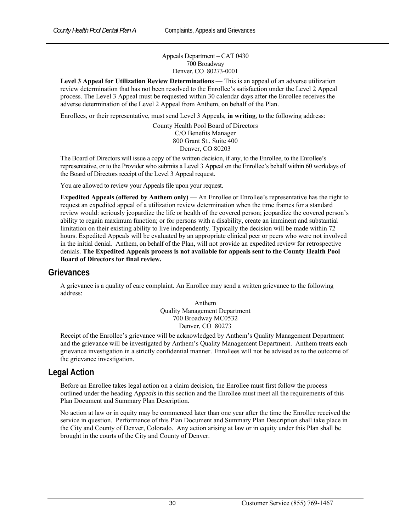Appeals Department – CAT 0430 700 Broadway Denver, CO 80273-0001

**Level 3 Appeal for Utilization Review Determinations** — This is an appeal of an adverse utilization review determination that has not been resolved to the Enrollee's satisfaction under the Level 2 Appeal process. The Level 3 Appeal must be requested within 30 calendar days after the Enrollee receives the adverse determination of the Level 2 Appeal from Anthem, on behalf of the Plan.

Enrollees, or their representative, must send Level 3 Appeals, **in writing**, to the following address:

County Health Pool Board of Directors C/O Benefits Manager 800 Grant St., Suite 400 Denver, CO 80203

The Board of Directors will issue a copy of the written decision, if any, to the Enrollee, to the Enrollee's representative, or to the Provider who submits a Level 3 Appeal on the Enrollee's behalf within 60 workdays of the Board of Directors receipt of the Level 3 Appeal request.

You are allowed to review your Appeals file upon your request.

**Expedited Appeals (offered by Anthem only)** — An Enrollee or Enrollee's representative has the right to request an expedited appeal of a utilization review determination when the time frames for a standard review would: seriously jeopardize the life or health of the covered person; jeopardize the covered person's ability to regain maximum function; or for persons with a disability, create an imminent and substantial limitation on their existing ability to live independently. Typically the decision will be made within 72 hours. Expedited Appeals will be evaluated by an appropriate clinical peer or peers who were not involved in the initial denial. Anthem, on behalf of the Plan, will not provide an expedited review for retrospective denials. **The Expedited Appeals process is not available for appeals sent to the County Health Pool Board of Directors for final review.** 

#### **Grievances**

A grievance is a quality of care complaint. An Enrollee may send a written grievance to the following address:

> Anthem Quality Management Department 700 Broadway MC0532 Denver, CO 80273

Receipt of the Enrollee's grievance will be acknowledged by Anthem's Quality Management Department and the grievance will be investigated by Anthem's Quality Management Department. Anthem treats each grievance investigation in a strictly confidential manner. Enrollees will not be advised as to the outcome of the grievance investigation.

#### **Legal Action**

Before an Enrollee takes legal action on a claim decision, the Enrollee must first follow the process outlined under the heading A*ppeals* in this section and the Enrollee must meet all the requirements of this Plan Document and Summary Plan Description.

No action at law or in equity may be commenced later than one year after the time the Enrollee received the service in question. Performance of this Plan Document and Summary Plan Description shall take place in the City and County of Denver, Colorado. Any action arising at law or in equity under this Plan shall be brought in the courts of the City and County of Denver.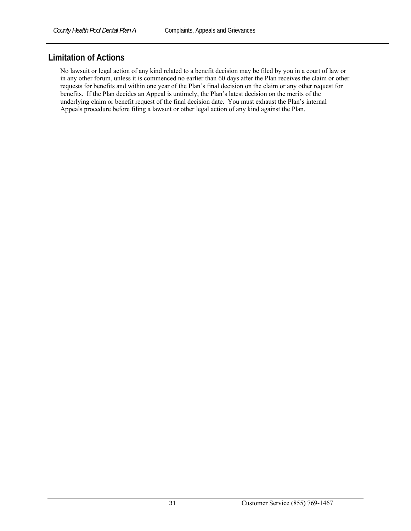# **Limitation of Actions**

No lawsuit or legal action of any kind related to a benefit decision may be filed by you in a court of law or in any other forum, unless it is commenced no earlier than 60 days after the Plan receives the claim or other requests for benefits and within one year of the Plan's final decision on the claim or any other request for benefits. If the Plan decides an Appeal is untimely, the Plan's latest decision on the merits of the underlying claim or benefit request of the final decision date. You must exhaust the Plan's internal Appeals procedure before filing a lawsuit or other legal action of any kind against the Plan.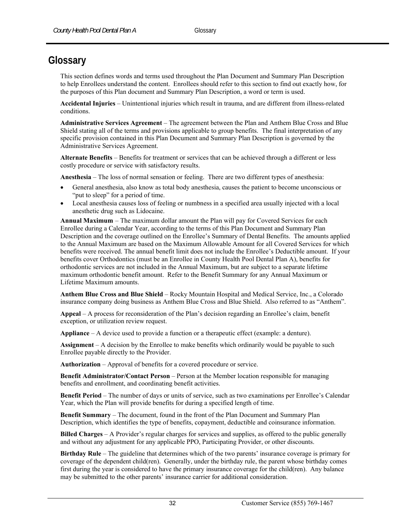# **Glossary**

This section defines words and terms used throughout the Plan Document and Summary Plan Description to help Enrollees understand the content. Enrollees should refer to this section to find out exactly how, for the purposes of this Plan document and Summary Plan Description, a word or term is used.

**Accidental Injuries** – Unintentional injuries which result in trauma, and are different from illness-related conditions.

**Administrative Services Agreement** – The agreement between the Plan and Anthem Blue Cross and Blue Shield stating all of the terms and provisions applicable to group benefits. The final interpretation of any specific provision contained in this Plan Document and Summary Plan Description is governed by the Administrative Services Agreement.

**Alternate Benefits** – Benefits for treatment or services that can be achieved through a different or less costly procedure or service with satisfactory results.

**Anesthesia** – The loss of normal sensation or feeling. There are two different types of anesthesia:

- General anesthesia, also know as total body anesthesia, causes the patient to become unconscious or "put to sleep" for a period of time.
- Local anesthesia causes loss of feeling or numbness in a specified area usually injected with a local anesthetic drug such as Lidocaine.

**Annual Maximum** – The maximum dollar amount the Plan will pay for Covered Services for each Enrollee during a Calendar Year, according to the terms of this Plan Document and Summary Plan Description and the coverage outlined on the Enrollee's Summary of Dental Benefits. The amounts applied to the Annual Maximum are based on the Maximum Allowable Amount for all Covered Services for which benefits were received. The annual benefit limit does not include the Enrollee's Deductible amount. If your benefits cover Orthodontics (must be an Enrollee in County Health Pool Dental Plan A), benefits for orthodontic services are not included in the Annual Maximum, but are subject to a separate lifetime maximum orthodontic benefit amount. Refer to the Benefit Summary for any Annual Maximum or Lifetime Maximum amounts.

**Anthem Blue Cross and Blue Shield** – Rocky Mountain Hospital and Medical Service, Inc., a Colorado insurance company doing business as Anthem Blue Cross and Blue Shield. Also referred to as "Anthem".

**Appeal** – A process for reconsideration of the Plan's decision regarding an Enrollee's claim, benefit exception, or utilization review request.

**Appliance** – A device used to provide a function or a therapeutic effect (example: a denture).

**Assignment** – A decision by the Enrollee to make benefits which ordinarily would be payable to such Enrollee payable directly to the Provider.

**Authorization** – Approval of benefits for a covered procedure or service.

**Benefit Administrator/Contact Person** – Person at the Member location responsible for managing benefits and enrollment, and coordinating benefit activities.

**Benefit Period** – The number of days or units of service, such as two examinations per Enrollee's Calendar Year, which the Plan will provide benefits for during a specified length of time.

**Benefit Summary** – The document, found in the front of the Plan Document and Summary Plan Description, which identifies the type of benefits, copayment, deductible and coinsurance information.

**Billed Charges** – A Provider's regular charges for services and supplies, as offered to the public generally and without any adjustment for any applicable PPO, Participating Provider, or other discounts.

**Birthday Rule** – The guideline that determines which of the two parents' insurance coverage is primary for coverage of the dependent child(ren). Generally, under the birthday rule, the parent whose birthday comes first during the year is considered to have the primary insurance coverage for the child(ren). Any balance may be submitted to the other parents' insurance carrier for additional consideration.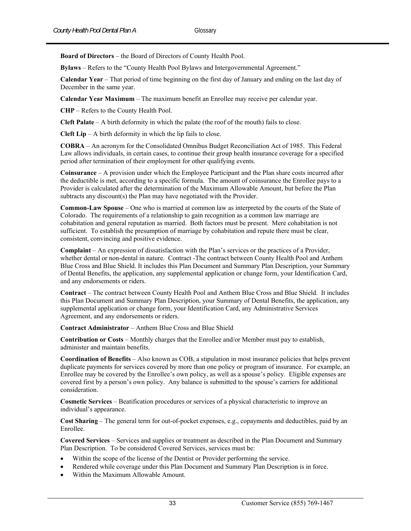**Board of Directors** – the Board of Directors of County Health Pool.

**Bylaws** – Refers to the "County Health Pool Bylaws and Intergovernmental Agreement."

**Calendar Year** – That period of time beginning on the first day of January and ending on the last day of December in the same year.

**Calendar Year Maximum** – The maximum benefit an Enrollee may receive per calendar year.

**CHP** – Refers to the County Health Pool.

**Cleft Palate** – A birth deformity in which the palate (the roof of the mouth) fails to close.

**Cleft Lip** – A birth deformity in which the lip fails to close.

**COBRA** – An acronym for the Consolidated Omnibus Budget Reconciliation Act of 1985. This Federal Law allows individuals, in certain cases, to continue their group health insurance coverage for a specified period after termination of their employment for other qualifying events.

**Coinsurance** – A provision under which the Employee Participant and the Plan share costs incurred after the deductible is met, according to a specific formula. The amount of coinsurance the Enrollee pays to a Provider is calculated after the determination of the Maximum Allowable Amount, but before the Plan subtracts any discount(s) the Plan may have negotiated with the Provider.

**Common-Law Spouse** – One who is married at common law as interpreted by the courts of the State of Colorado. The requirements of a relationship to gain recognition as a common law marriage are cohabitation and general reputation as married. Both factors must be present. Mere cohabitation is not sufficient. To establish the presumption of marriage by cohabitation and repute there must be clear, consistent, convincing and positive evidence.

**Complaint** – An expression of dissatisfaction with the Plan's services or the practices of a Provider, whether dental or non-dental in nature. Contract -The contract between County Health Pool and Anthem Blue Cross and Blue Shield. It includes this Plan Document and Summary Plan Description, your Summary of Dental Benefits, the application, any supplemental application or change form, your Identification Card, and any endorsements or riders.

**Contract** – The contract between County Health Pool and Anthem Blue Cross and Blue Shield. It includes this Plan Document and Summary Plan Description, your Summary of Dental Benefits, the application, any supplemental application or change form, your Identification Card, any Administrative Services Agreement, and any endorsements or riders.

**Contract Administrator** – Anthem Blue Cross and Blue Shield

**Contribution or Costs** – Monthly charges that the Enrollee and/or Member must pay to establish, administer and maintain benefits.

**Coordination of Benefits** – Also known as COB, a stipulation in most insurance policies that helps prevent duplicate payments for services covered by more than one policy or program of insurance. For example, an Enrollee may be covered by the Enrollee's own policy, as well as a spouse's policy. Eligible expenses are covered first by a person's own policy. Any balance is submitted to the spouse's carriers for additional consideration.

**Cosmetic Services** – Beatification procedures or services of a physical characteristic to improve an individual's appearance.

**Cost Sharing** – The general term for out-of-pocket expenses, e.g., copayments and deductibles, paid by an Enrollee.

**Covered Services** – Services and supplies or treatment as described in the Plan Document and Summary Plan Description. To be considered Covered Services, services must be:

- Within the scope of the license of the Dentist or Provider performing the service.
- Rendered while coverage under this Plan Document and Summary Plan Description is in force.
- Within the Maximum Allowable Amount.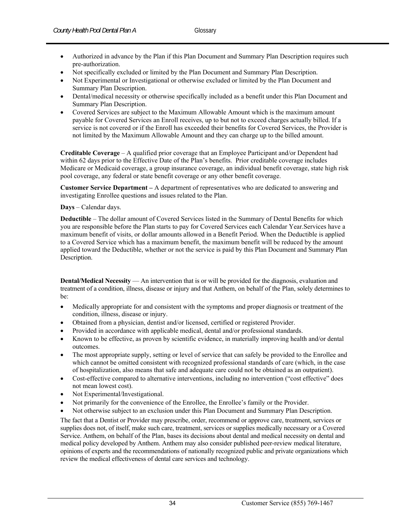- Authorized in advance by the Plan if this Plan Document and Summary Plan Description requires such pre-authorization.
- Not specifically excluded or limited by the Plan Document and Summary Plan Description.
- Not Experimental or Investigational or otherwise excluded or limited by the Plan Document and Summary Plan Description.
- Dental/medical necessity or otherwise specifically included as a benefit under this Plan Document and Summary Plan Description.
- Covered Services are subject to the Maximum Allowable Amount which is the maximum amount payable for Covered Services an Enroll receives, up to but not to exceed charges actually billed. If a service is not covered or if the Enroll has exceeded their benefits for Covered Services, the Provider is not limited by the Maximum Allowable Amount and they can charge up to the billed amount.

**Creditable Coverage** – A qualified prior coverage that an Employee Participant and/or Dependent had within 62 days prior to the Effective Date of the Plan's benefits. Prior creditable coverage includes Medicare or Medicaid coverage, a group insurance coverage, an individual benefit coverage, state high risk pool coverage, any federal or state benefit coverage or any other benefit coverage.

**Customer Service Department –** A department of representatives who are dedicated to answering and investigating Enrollee questions and issues related to the Plan.

#### **Days** – Calendar days.

**Deductible** – The dollar amount of Covered Services listed in the Summary of Dental Benefits for which you are responsible before the Plan starts to pay for Covered Services each Calendar Year.Services have a maximum benefit of visits, or dollar amounts allowed in a Benefit Period. When the Deductible is applied to a Covered Service which has a maximum benefit, the maximum benefit will be reduced by the amount applied toward the Deductible, whether or not the service is paid by this Plan Document and Summary Plan Description.

**Dental/Medical Necessity** — An intervention that is or will be provided for the diagnosis, evaluation and treatment of a condition, illness, disease or injury and that Anthem, on behalf of the Plan, solely determines to be:

- Medically appropriate for and consistent with the symptoms and proper diagnosis or treatment of the condition, illness, disease or injury.
- Obtained from a physician, dentist and/or licensed, certified or registered Provider.
- Provided in accordance with applicable medical, dental and/or professional standards.
- Known to be effective, as proven by scientific evidence, in materially improving health and/or dental outcomes.
- The most appropriate supply, setting or level of service that can safely be provided to the Enrollee and which cannot be omitted consistent with recognized professional standards of care (which, in the case of hospitalization, also means that safe and adequate care could not be obtained as an outpatient).
- Cost-effective compared to alternative interventions, including no intervention ("cost effective" does not mean lowest cost).
- Not Experimental/Investigational.
- Not primarily for the convenience of the Enrollee, the Enrollee's family or the Provider.
- Not otherwise subject to an exclusion under this Plan Document and Summary Plan Description.

The fact that a Dentist or Provider may prescribe, order, recommend or approve care, treatment, services or supplies does not, of itself, make such care, treatment, services or supplies medically necessary or a Covered Service. Anthem, on behalf of the Plan, bases its decisions about dental and medical necessity on dental and medical policy developed by Anthem. Anthem may also consider published peer-review medical literature, opinions of experts and the recommendations of nationally recognized public and private organizations which review the medical effectiveness of dental care services and technology.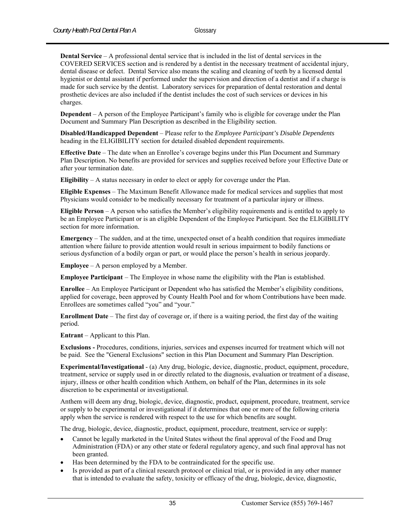**Dental Service** – A professional dental service that is included in the list of dental services in the COVERED SERVICES section and is rendered by a dentist in the necessary treatment of accidental injury, dental disease or defect. Dental Service also means the scaling and cleaning of teeth by a licensed dental hygienist or dental assistant if performed under the supervision and direction of a dentist and if a charge is made for such service by the dentist. Laboratory services for preparation of dental restoration and dental prosthetic devices are also included if the dentist includes the cost of such services or devices in his charges.

**Dependent** – A person of the Employee Participant's family who is eligible for coverage under the Plan Document and Summary Plan Description as described in the Eligibility section.

**Disabled/Handicapped Dependent** – Please refer to the *Employee Participant's Disable Dependents* heading in the ELIGIBILITY section for detailed disabled dependent requirements.

**Effective Date** – The date when an Enrollee's coverage begins under this Plan Document and Summary Plan Description. No benefits are provided for services and supplies received before your Effective Date or after your termination date.

**Eligibility** – A status necessary in order to elect or apply for coverage under the Plan.

**Eligible Expenses** – The Maximum Benefit Allowance made for medical services and supplies that most Physicians would consider to be medically necessary for treatment of a particular injury or illness.

**Eligible Person** – A person who satisfies the Member's eligibility requirements and is entitled to apply to be an Employee Participant or is an eligible Dependent of the Employee Participant. See the ELIGIBILITY section for more information.

**Emergency** – The sudden, and at the time, unexpected onset of a health condition that requires immediate attention where failure to provide attention would result in serious impairment to bodily functions or serious dysfunction of a bodily organ or part, or would place the person's health in serious jeopardy.

**Employee** – A person employed by a Member.

**Employee Participant** – The Employee in whose name the eligibility with the Plan is established.

**Enrollee** – An Employee Participant or Dependent who has satisfied the Member's eligibility conditions, applied for coverage, been approved by County Health Pool and for whom Contributions have been made. Enrollees are sometimes called "you" and "your."

**Enrollment Date** – The first day of coverage or, if there is a waiting period, the first day of the waiting period.

**Entrant** – Applicant to this Plan.

**Exclusions -** Procedures, conditions, injuries, services and expenses incurred for treatment which will not be paid. See the "General Exclusions" section in this Plan Document and Summary Plan Description.

**Experimental/Investigational** - (a) Any drug, biologic, device, diagnostic, product, equipment, procedure, treatment, service or supply used in or directly related to the diagnosis, evaluation or treatment of a disease, injury, illness or other health condition which Anthem, on behalf of the Plan, determines in its sole discretion to be experimental or investigational.

Anthem will deem any drug, biologic, device, diagnostic, product, equipment, procedure, treatment, service or supply to be experimental or investigational if it determines that one or more of the following criteria apply when the service is rendered with respect to the use for which benefits are sought.

The drug, biologic, device, diagnostic, product, equipment, procedure, treatment, service or supply:

- Cannot be legally marketed in the United States without the final approval of the Food and Drug Administration (FDA) or any other state or federal regulatory agency, and such final approval has not been granted.
- Has been determined by the FDA to be contraindicated for the specific use.
- Is provided as part of a clinical research protocol or clinical trial, or is provided in any other manner that is intended to evaluate the safety, toxicity or efficacy of the drug, biologic, device, diagnostic,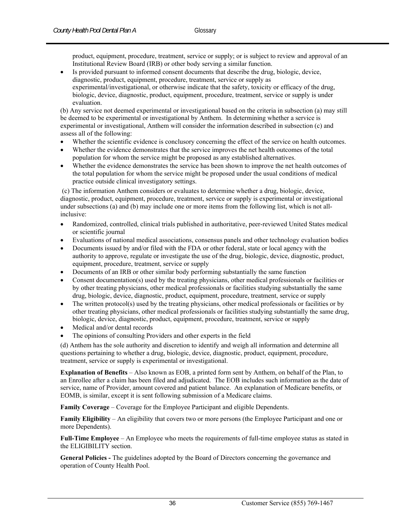product, equipment, procedure, treatment, service or supply; or is subject to review and approval of an Institutional Review Board (IRB) or other body serving a similar function.

 Is provided pursuant to informed consent documents that describe the drug, biologic, device, diagnostic, product, equipment, procedure, treatment, service or supply as experimental/investigational, or otherwise indicate that the safety, toxicity or efficacy of the drug, biologic, device, diagnostic, product, equipment, procedure, treatment, service or supply is under evaluation.

(b) Any service not deemed experimental or investigational based on the criteria in subsection (a) may still be deemed to be experimental or investigational by Anthem. In determining whether a service is experimental or investigational, Anthem will consider the information described in subsection (c) and assess all of the following:

- Whether the scientific evidence is conclusory concerning the effect of the service on health outcomes.
- Whether the evidence demonstrates that the service improves the net health outcomes of the total population for whom the service might be proposed as any established alternatives.
- Whether the evidence demonstrates the service has been shown to improve the net health outcomes of the total population for whom the service might be proposed under the usual conditions of medical practice outside clinical investigatory settings.

 (c) The information Anthem considers or evaluates to determine whether a drug, biologic, device, diagnostic, product, equipment, procedure, treatment, service or supply is experimental or investigational under subsections (a) and (b) may include one or more items from the following list, which is not allinclusive:

- Randomized, controlled, clinical trials published in authoritative, peer-reviewed United States medical or scientific journal
- Evaluations of national medical associations, consensus panels and other technology evaluation bodies
- Documents issued by and/or filed with the FDA or other federal, state or local agency with the authority to approve, regulate or investigate the use of the drug, biologic, device, diagnostic, product, equipment, procedure, treatment, service or supply
- Documents of an IRB or other similar body performing substantially the same function
- Consent documentation(s) used by the treating physicians, other medical professionals or facilities or by other treating physicians, other medical professionals or facilities studying substantially the same drug, biologic, device, diagnostic, product, equipment, procedure, treatment, service or supply
- The written protocol(s) used by the treating physicians, other medical professionals or facilities or by other treating physicians, other medical professionals or facilities studying substantially the same drug, biologic, device, diagnostic, product, equipment, procedure, treatment, service or supply
- Medical and/or dental records
- The opinions of consulting Providers and other experts in the field

(d) Anthem has the sole authority and discretion to identify and weigh all information and determine all questions pertaining to whether a drug, biologic, device, diagnostic, product, equipment, procedure, treatment, service or supply is experimental or investigational.

**Explanation of Benefits** – Also known as EOB, a printed form sent by Anthem, on behalf of the Plan, to an Enrollee after a claim has been filed and adjudicated. The EOB includes such information as the date of service, name of Provider, amount covered and patient balance. An explanation of Medicare benefits, or EOMB, is similar, except it is sent following submission of a Medicare claims.

**Family Coverage** – Coverage for the Employee Participant and eligible Dependents.

**Family Eligibility** – An eligibility that covers two or more persons (the Employee Participant and one or more Dependents).

**Full-Time Employee** – An Employee who meets the requirements of full-time employee status as stated in the ELIGIBILITY section.

**General Policies -** The guidelines adopted by the Board of Directors concerning the governance and operation of County Health Pool.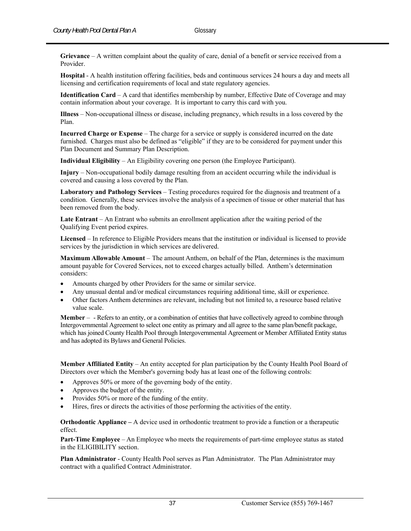**Grievance** – A written complaint about the quality of care, denial of a benefit or service received from a Provider.

**Hospital** - A health institution offering facilities, beds and continuous services 24 hours a day and meets all licensing and certification requirements of local and state regulatory agencies.

**Identification Card** – A card that identifies membership by number, Effective Date of Coverage and may contain information about your coverage. It is important to carry this card with you.

**Illness** – Non-occupational illness or disease, including pregnancy, which results in a loss covered by the Plan.

**Incurred Charge or Expense** – The charge for a service or supply is considered incurred on the date furnished. Charges must also be defined as "eligible" if they are to be considered for payment under this Plan Document and Summary Plan Description.

**Individual Eligibility** – An Eligibility covering one person (the Employee Participant).

**Injury** – Non-occupational bodily damage resulting from an accident occurring while the individual is covered and causing a loss covered by the Plan.

**Laboratory and Pathology Services** – Testing procedures required for the diagnosis and treatment of a condition. Generally, these services involve the analysis of a specimen of tissue or other material that has been removed from the body.

**Late Entrant** – An Entrant who submits an enrollment application after the waiting period of the Qualifying Event period expires.

**Licensed** – In reference to Eligible Providers means that the institution or individual is licensed to provide services by the jurisdiction in which services are delivered.

**Maximum Allowable Amount** – The amount Anthem, on behalf of the Plan, determines is the maximum amount payable for Covered Services, not to exceed charges actually billed. Anthem's determination considers:

- Amounts charged by other Providers for the same or similar service.
- Any unusual dental and/or medical circumstances requiring additional time, skill or experience.
- Other factors Anthem determines are relevant, including but not limited to, a resource based relative value scale.

**Member** – - Refers to an entity, or a combination of entities that have collectively agreed to combine through Intergovernmental Agreement to select one entity as primary and all agree to the same plan/benefit package, which has joined County Health Pool through Intergovernmental Agreement or Member Affiliated Entity status and has adopted its Bylaws and General Policies.

**Member Affiliated Entity** – An entity accepted for plan participation by the County Health Pool Board of Directors over which the Member's governing body has at least one of the following controls:

- Approves 50% or more of the governing body of the entity.
- Approves the budget of the entity.
- Provides 50% or more of the funding of the entity.
- Hires, fires or directs the activities of those performing the activities of the entity.

**Orthodontic Appliance –** A device used in orthodontic treatment to provide a function or a therapeutic effect.

**Part-Time Employee** – An Employee who meets the requirements of part-time employee status as stated in the ELIGIBILITY section.

**Plan Administrator** - County Health Pool serves as Plan Administrator. The Plan Administrator may contract with a qualified Contract Administrator.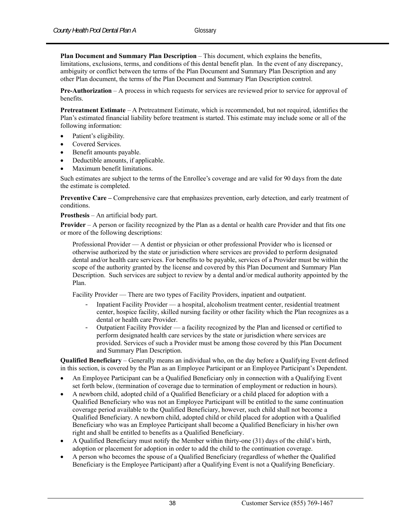**Plan Document and Summary Plan Description** – This document, which explains the benefits, limitations, exclusions, terms, and conditions of this dental benefit plan. In the event of any discrepancy, ambiguity or conflict between the terms of the Plan Document and Summary Plan Description and any other Plan document, the terms of the Plan Document and Summary Plan Description control.

**Pre-Authorization** – A process in which requests for services are reviewed prior to service for approval of benefits.

**Pretreatment Estimate** – A Pretreatment Estimate, which is recommended, but not required, identifies the Plan's estimated financial liability before treatment is started. This estimate may include some or all of the following information:

- Patient's eligibility.
- Covered Services.
- Benefit amounts payable.
- Deductible amounts, if applicable.
- Maximum benefit limitations.

Such estimates are subject to the terms of the Enrollee's coverage and are valid for 90 days from the date the estimate is completed.

**Preventive Care – Comprehensive care that emphasizes prevention, early detection, and early treatment of** conditions.

**Prosthesis** – An artificial body part.

**Provider** – A person or facility recognized by the Plan as a dental or health care Provider and that fits one or more of the following descriptions:

Professional Provider — A dentist or physician or other professional Provider who is licensed or otherwise authorized by the state or jurisdiction where services are provided to perform designated dental and/or health care services. For benefits to be payable, services of a Provider must be within the scope of the authority granted by the license and covered by this Plan Document and Summary Plan Description. Such services are subject to review by a dental and/or medical authority appointed by the Plan.

Facility Provider — There are two types of Facility Providers, inpatient and outpatient.

- Inpatient Facility Provider a hospital, alcoholism treatment center, residential treatment center, hospice facility, skilled nursing facility or other facility which the Plan recognizes as a dental or health care Provider.
- Outpatient Facility Provider a facility recognized by the Plan and licensed or certified to perform designated health care services by the state or jurisdiction where services are provided. Services of such a Provider must be among those covered by this Plan Document and Summary Plan Description.

**Qualified Beneficiary** – Generally means an individual who, on the day before a Qualifying Event defined in this section, is covered by the Plan as an Employee Participant or an Employee Participant's Dependent.

- An Employee Participant can be a Qualified Beneficiary only in connection with a Qualifying Event set forth below, (termination of coverage due to termination of employment or reduction in hours).
- A newborn child, adopted child of a Qualified Beneficiary or a child placed for adoption with a Qualified Beneficiary who was not an Employee Participant will be entitled to the same continuation coverage period available to the Qualified Beneficiary, however, such child shall not become a Qualified Beneficiary. A newborn child, adopted child or child placed for adoption with a Qualified Beneficiary who was an Employee Participant shall become a Qualified Beneficiary in his/her own right and shall be entitled to benefits as a Qualified Beneficiary.
- A Qualified Beneficiary must notify the Member within thirty-one (31) days of the child's birth, adoption or placement for adoption in order to add the child to the continuation coverage.
- A person who becomes the spouse of a Qualified Beneficiary (regardless of whether the Qualified Beneficiary is the Employee Participant) after a Qualifying Event is not a Qualifying Beneficiary.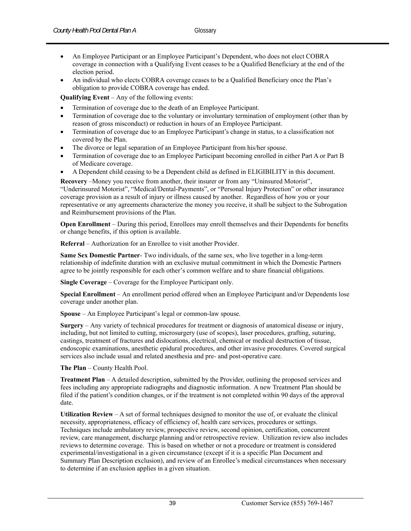- An Employee Participant or an Employee Participant's Dependent, who does not elect COBRA coverage in connection with a Qualifying Event ceases to be a Qualified Beneficiary at the end of the election period.
- An individual who elects COBRA coverage ceases to be a Qualified Beneficiary once the Plan's obligation to provide COBRA coverage has ended.

**Qualifying Event** – Any of the following events:

- Termination of coverage due to the death of an Employee Participant.
- Termination of coverage due to the voluntary or involuntary termination of employment (other than by reason of gross misconduct) or reduction in hours of an Employee Participant.
- Termination of coverage due to an Employee Participant's change in status, to a classification not covered by the Plan.
- The divorce or legal separation of an Employee Participant from his/her spouse.
- Termination of coverage due to an Employee Participant becoming enrolled in either Part A or Part B of Medicare coverage.
- A Dependent child ceasing to be a Dependent child as defined in ELIGIBILITY in this document.

**Recovery** –Money you receive from another, their insurer or from any "Uninsured Motorist", "Underinsured Motorist", "Medical/Dental-Payments", or "Personal Injury Protection" or other insurance coverage provision as a result of injury or illness caused by another. Regardless of how you or your representative or any agreements characterize the money you receive, it shall be subject to the Subrogation and Reimbursement provisions of the Plan.

**Open Enrollment** – During this period, Enrollees may enroll themselves and their Dependents for benefits or change benefits, if this option is available.

**Referral** – Authorization for an Enrollee to visit another Provider.

**Same Sex Domestic Partner**- Two individuals, of the same sex, who live together in a long-term relationship of indefinite duration with an exclusive mutual commitment in which the Domestic Partners agree to be jointly responsible for each other's common welfare and to share financial obligations.

**Single Coverage** – Coverage for the Employee Participant only.

**Special Enrollment** – An enrollment period offered when an Employee Participant and/or Dependents lose coverage under another plan.

**Spouse** – An Employee Participant's legal or common-law spouse.

**Surgery** – Any variety of technical procedures for treatment or diagnosis of anatomical disease or injury, including, but not limited to cutting, microsurgery (use of scopes), laser procedures, grafting, suturing, castings, treatment of fractures and dislocations, electrical, chemical or medical destruction of tissue, endoscopic examinations, anesthetic epidural procedures, and other invasive procedures. Covered surgical services also include usual and related anesthesia and pre- and post-operative care.

**The Plan** – County Health Pool.

**Treatment Plan** – A detailed description, submitted by the Provider, outlining the proposed services and fees including any appropriate radiographs and diagnostic information. A new Treatment Plan should be filed if the patient's condition changes, or if the treatment is not completed within 90 days of the approval date.

**Utilization Review** – A set of formal techniques designed to monitor the use of, or evaluate the clinical necessity, appropriateness, efficacy of efficiency of, health care services, procedures or settings. Techniques include ambulatory review, prospective review, second opinion, certification, concurrent review, care management, discharge planning and/or retrospective review. Utilization review also includes reviews to determine coverage. This is based on whether or not a procedure or treatment is considered experimental/investigational in a given circumstance (except if it is a specific Plan Document and Summary Plan Description exclusion), and review of an Enrollee's medical circumstances when necessary to determine if an exclusion applies in a given situation.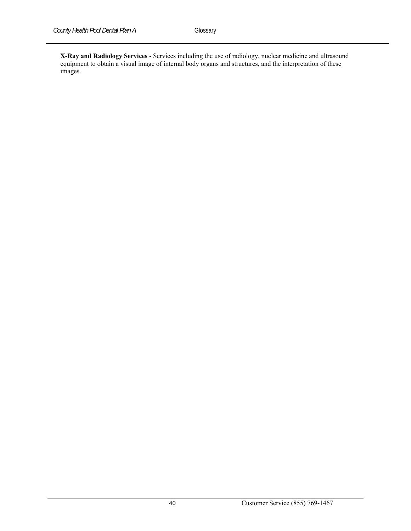**X-Ray and Radiology Services** - Services including the use of radiology, nuclear medicine and ultrasound equipment to obtain a visual image of internal body organs and structures, and the interpretation of these images.